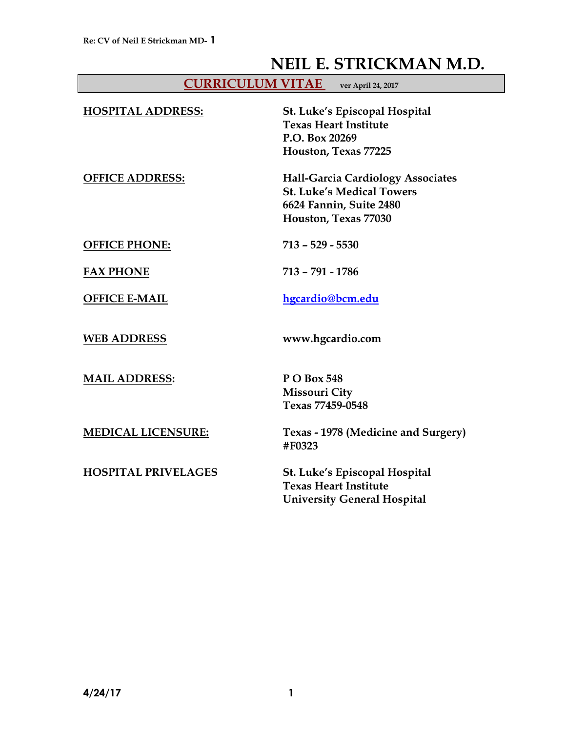# **NEIL E. STRICKMAN M.D.**

| <b>CURRICULUM VITAE</b> | ver April 24, 2017 |
|-------------------------|--------------------|
|-------------------------|--------------------|

| <b>HOSPITAL ADDRESS:</b>   | St. Luke's Episcopal Hospital<br><b>Texas Heart Institute</b><br>P.O. Box 20269<br>Houston, Texas 77225                         |
|----------------------------|---------------------------------------------------------------------------------------------------------------------------------|
| <b>OFFICE ADDRESS:</b>     | <b>Hall-Garcia Cardiology Associates</b><br><b>St. Luke's Medical Towers</b><br>6624 Fannin, Suite 2480<br>Houston, Texas 77030 |
| <b>OFFICE PHONE:</b>       | $713 - 529 - 5530$                                                                                                              |
| <b>FAX PHONE</b>           | $713 - 791 - 1786$                                                                                                              |
| <b>OFFICE E-MAIL</b>       | hgcardio@bcm.edu                                                                                                                |
| <b>WEB ADDRESS</b>         | www.hgcardio.com                                                                                                                |
| <b>MAIL ADDRESS:</b>       | P O Box 548<br><b>Missouri City</b><br>Texas 77459-0548                                                                         |
| <b>MEDICAL LICENSURE:</b>  | Texas - 1978 (Medicine and Surgery)<br>#F0323                                                                                   |
| <b>HOSPITAL PRIVELAGES</b> | St. Luke's Episcopal Hospital<br><b>Texas Heart Institute</b><br><b>University General Hospital</b>                             |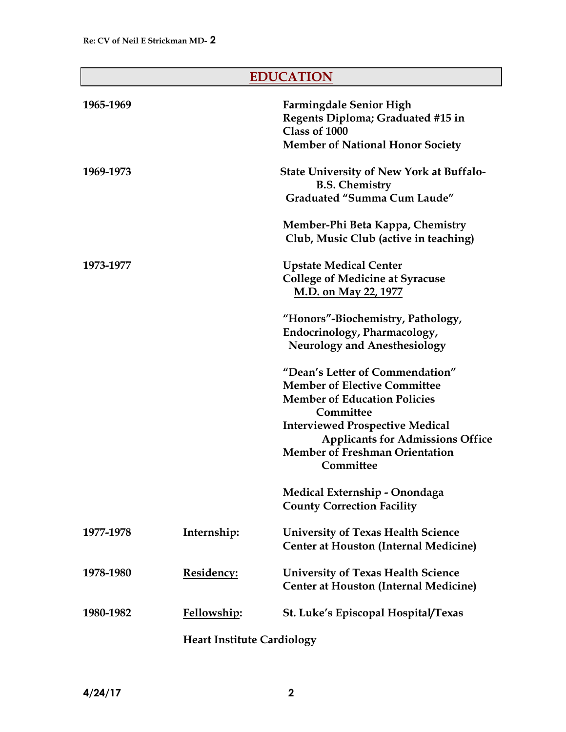# **EDUCATION**

| 1965-1969 |                                   | <b>Farmingdale Senior High</b><br>Regents Diploma; Graduated #15 in<br>Class of 1000<br><b>Member of National Honor Society</b>         |
|-----------|-----------------------------------|-----------------------------------------------------------------------------------------------------------------------------------------|
| 1969-1973 |                                   | <b>State University of New York at Buffalo-</b><br><b>B.S. Chemistry</b><br><b>Graduated "Summa Cum Laude"</b>                          |
|           |                                   | Member-Phi Beta Kappa, Chemistry<br>Club, Music Club (active in teaching)                                                               |
| 1973-1977 |                                   | <b>Upstate Medical Center</b><br><b>College of Medicine at Syracuse</b><br>M.D. on May 22, 1977                                         |
|           |                                   | "Honors"-Biochemistry, Pathology,<br>Endocrinology, Pharmacology,<br><b>Neurology and Anesthesiology</b>                                |
|           |                                   | "Dean's Letter of Commendation"<br><b>Member of Elective Committee</b><br><b>Member of Education Policies</b><br>Committee              |
|           |                                   | <b>Interviewed Prospective Medical</b><br><b>Applicants for Admissions Office</b><br><b>Member of Freshman Orientation</b><br>Committee |
|           |                                   | Medical Externship - Onondaga<br><b>County Correction Facility</b>                                                                      |
| 1977-1978 | Internship:                       | <b>University of Texas Health Science</b><br><b>Center at Houston (Internal Medicine)</b>                                               |
| 1978-1980 | <u><b>Residency:</b></u>          | <b>University of Texas Health Science</b><br><b>Center at Houston (Internal Medicine)</b>                                               |
| 1980-1982 | Fellowship:                       | St. Luke's Episcopal Hospital/Texas                                                                                                     |
|           | <b>Heart Institute Cardiology</b> |                                                                                                                                         |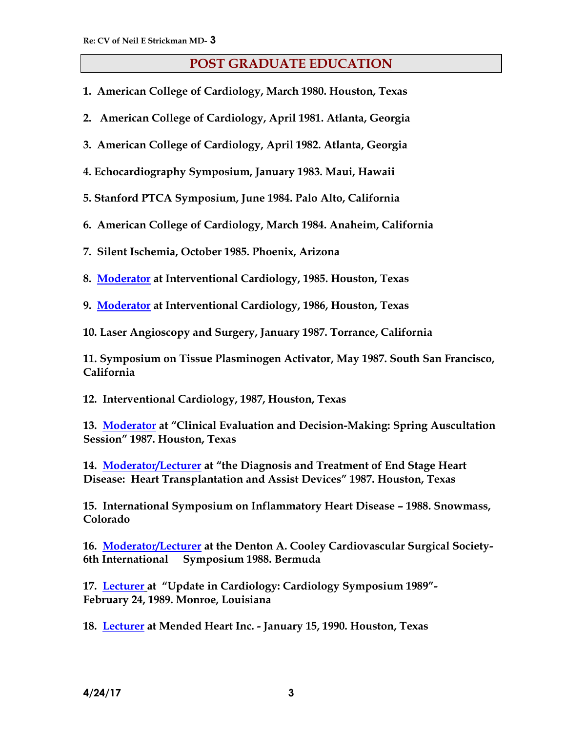# **POST GRADUATE EDUCATION**

- **1. American College of Cardiology, March 1980. Houston, Texas**
- **2. American College of Cardiology, April 1981. Atlanta, Georgia**
- **3. American College of Cardiology, April 1982. Atlanta, Georgia**
- **4. Echocardiography Symposium, January 1983. Maui, Hawaii**
- **5. Stanford PTCA Symposium, June 1984. Palo Alto, California**
- **6. American College of Cardiology, March 1984. Anaheim, California**
- **7. Silent Ischemia, October 1985. Phoenix, Arizona**
- **8. Moderator at Interventional Cardiology, 1985. Houston, Texas**
- **9. Moderator at Interventional Cardiology, 1986, Houston, Texas**
- **10. Laser Angioscopy and Surgery, January 1987. Torrance, California**

**11. Symposium on Tissue Plasminogen Activator, May 1987. South San Francisco, California**

**12. Interventional Cardiology, 1987, Houston, Texas**

**13. Moderator at "Clinical Evaluation and Decision-Making: Spring Auscultation Session" 1987. Houston, Texas**

**14. Moderator/Lecturer at "the Diagnosis and Treatment of End Stage Heart Disease: Heart Transplantation and Assist Devices" 1987. Houston, Texas**

**15. International Symposium on Inflammatory Heart Disease – 1988. Snowmass, Colorado**

**16. Moderator/Lecturer at the Denton A. Cooley Cardiovascular Surgical Society-6th International Symposium 1988. Bermuda**

**17. Lecturer at "Update in Cardiology: Cardiology Symposium 1989"- February 24, 1989. Monroe, Louisiana**

**18. Lecturer at Mended Heart Inc. - January 15, 1990. Houston, Texas**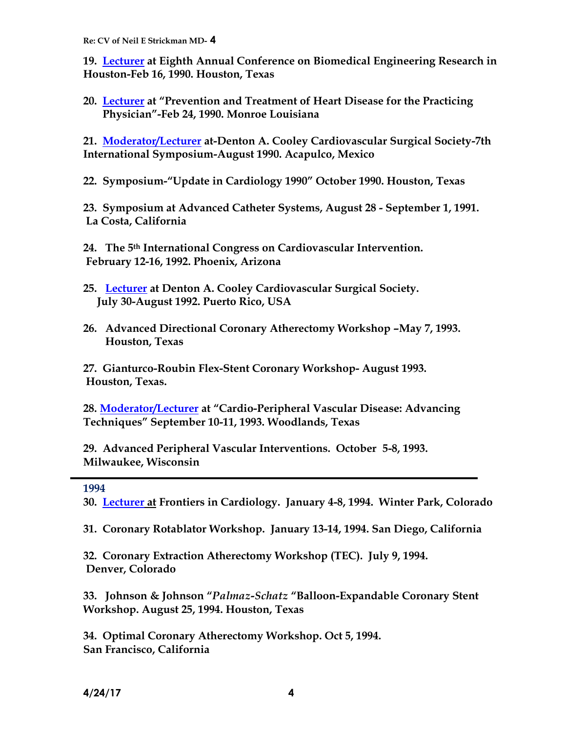**19. Lecturer at Eighth Annual Conference on Biomedical Engineering Research in Houston-Feb 16, 1990. Houston, Texas**

**20. Lecturer at "Prevention and Treatment of Heart Disease for the Practicing Physician"-Feb 24, 1990. Monroe Louisiana**

**21. Moderator/Lecturer at-Denton A. Cooley Cardiovascular Surgical Society-7th International Symposium-August 1990. Acapulco, Mexico**

**22. Symposium-"Update in Cardiology 1990" October 1990. Houston, Texas**

**23. Symposium at Advanced Catheter Systems, August 28 - September 1, 1991. La Costa, California**

**24. The 5th International Congress on Cardiovascular Intervention. February 12-16, 1992. Phoenix, Arizona**

- **25. Lecturer at Denton A. Cooley Cardiovascular Surgical Society. July 30-August 1992. Puerto Rico, USA**
- **26. Advanced Directional Coronary Atherectomy Workshop –May 7, 1993. Houston, Texas**

**27. Gianturco-Roubin Flex-Stent Coronary Workshop- August 1993. Houston, Texas.** 

**28. Moderator/Lecturer at "Cardio-Peripheral Vascular Disease: Advancing Techniques" September 10-11, 1993. Woodlands, Texas**

**29. Advanced Peripheral Vascular Interventions. October 5-8, 1993. Milwaukee, Wisconsin**

#### **1994**

**30. Lecturer at Frontiers in Cardiology. January 4-8, 1994. Winter Park, Colorado**

**31. Coronary Rotablator Workshop. January 13-14, 1994. San Diego, California**

**32. Coronary Extraction Atherectomy Workshop (TEC). July 9, 1994. Denver, Colorado** 

**33. Johnson & Johnson "***Palmaz-Schatz* **"Balloon-Expandable Coronary Stent Workshop. August 25, 1994. Houston, Texas**

**34. Optimal Coronary Atherectomy Workshop. Oct 5, 1994. San Francisco, California**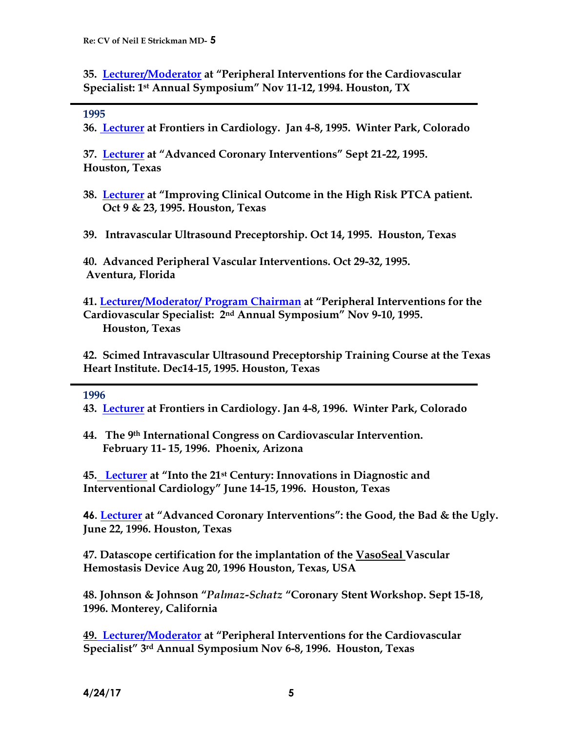**35. Lecturer/Moderator at "Peripheral Interventions for the Cardiovascular Specialist: 1st Annual Symposium" Nov 11-12, 1994. Houston, TX** 

#### **1995**

**36. Lecturer at Frontiers in Cardiology. Jan 4-8, 1995. Winter Park, Colorado**

**37. Lecturer at "Advanced Coronary Interventions" Sept 21-22, 1995. Houston, Texas**

- **38. Lecturer at "Improving Clinical Outcome in the High Risk PTCA patient. Oct 9 & 23, 1995. Houston, Texas**
- **39. Intravascular Ultrasound Preceptorship. Oct 14, 1995. Houston, Texas**

**40. Advanced Peripheral Vascular Interventions. Oct 29-32, 1995. Aventura, Florida**

**41. Lecturer/Moderator/ Program Chairman at "Peripheral Interventions for the Cardiovascular Specialist: 2nd Annual Symposium" Nov 9-10, 1995. Houston, Texas** 

**42. Scimed Intravascular Ultrasound Preceptorship Training Course at the Texas Heart Institute. Dec14-15, 1995. Houston, Texas**

#### **1996**

**43. Lecturer at Frontiers in Cardiology. Jan 4-8, 1996. Winter Park, Colorado**

**44. The 9th International Congress on Cardiovascular Intervention. February 11- 15, 1996. Phoenix, Arizona**

**45. Lecturer at "Into the 21st Century: Innovations in Diagnostic and Interventional Cardiology" June 14-15, 1996. Houston, Texas**

**46. Lecturer at "Advanced Coronary Interventions": the Good, the Bad & the Ugly. June 22, 1996. Houston, Texas**

**47. Datascope certification for the implantation of the VasoSeal Vascular Hemostasis Device Aug 20, 1996 Houston, Texas, USA**

**48. Johnson & Johnson "***Palmaz-Schatz* **"Coronary Stent Workshop. Sept 15-18, 1996. Monterey, California**

**49. Lecturer/Moderator at "Peripheral Interventions for the Cardiovascular Specialist" 3rd Annual Symposium Nov 6-8, 1996. Houston, Texas**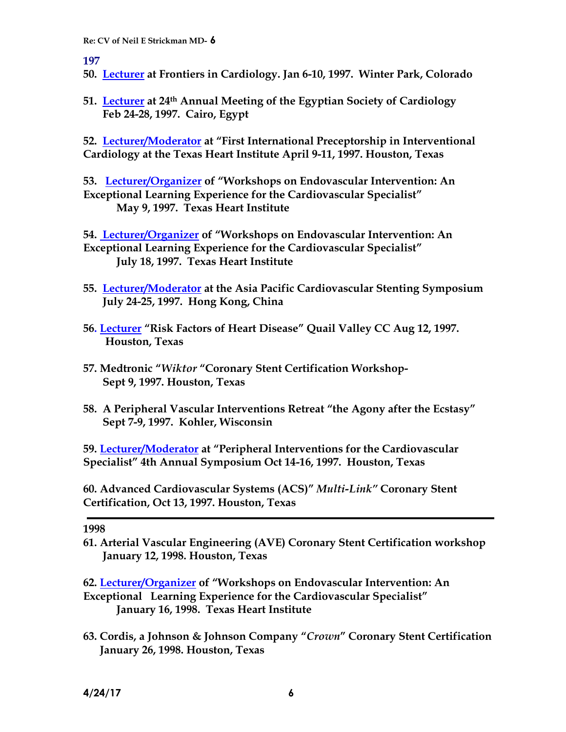**197**

- **50. Lecturer at Frontiers in Cardiology. Jan 6-10, 1997. Winter Park, Colorado**
- **51. Lecturer at 24th Annual Meeting of the Egyptian Society of Cardiology Feb 24-28, 1997. Cairo, Egypt**

**52. Lecturer/Moderator at "First International Preceptorship in Interventional Cardiology at the Texas Heart Institute April 9-11, 1997. Houston, Texas**

**53. Lecturer/Organizer of "Workshops on Endovascular Intervention: An Exceptional Learning Experience for the Cardiovascular Specialist" May 9, 1997. Texas Heart Institute**

**54. Lecturer/Organizer of "Workshops on Endovascular Intervention: An Exceptional Learning Experience for the Cardiovascular Specialist" July 18, 1997. Texas Heart Institute**

- **55. Lecturer/Moderator at the Asia Pacific Cardiovascular Stenting Symposium July 24-25, 1997. Hong Kong, China**
- **56. Lecturer "Risk Factors of Heart Disease" Quail Valley CC Aug 12, 1997. Houston, Texas**
- **57. Medtronic "***Wiktor* **"Coronary Stent Certification Workshop-Sept 9, 1997. Houston, Texas**
- **58. A Peripheral Vascular Interventions Retreat "the Agony after the Ecstasy" Sept 7-9, 1997. Kohler, Wisconsin**

**59. Lecturer/Moderator at "Peripheral Interventions for the Cardiovascular Specialist" 4th Annual Symposium Oct 14-16, 1997. Houston, Texas**

**60. Advanced Cardiovascular Systems (ACS)"** *Multi-Link"* **Coronary Stent Certification, Oct 13, 1997. Houston, Texas**

**1998**

**61. Arterial Vascular Engineering (AVE) Coronary Stent Certification workshop January 12, 1998. Houston, Texas**

**62. Lecturer/Organizer of "Workshops on Endovascular Intervention: An Exceptional Learning Experience for the Cardiovascular Specialist" January 16, 1998. Texas Heart Institute**

**63. Cordis, a Johnson & Johnson Company "***Crown***" Coronary Stent Certification January 26, 1998. Houston, Texas**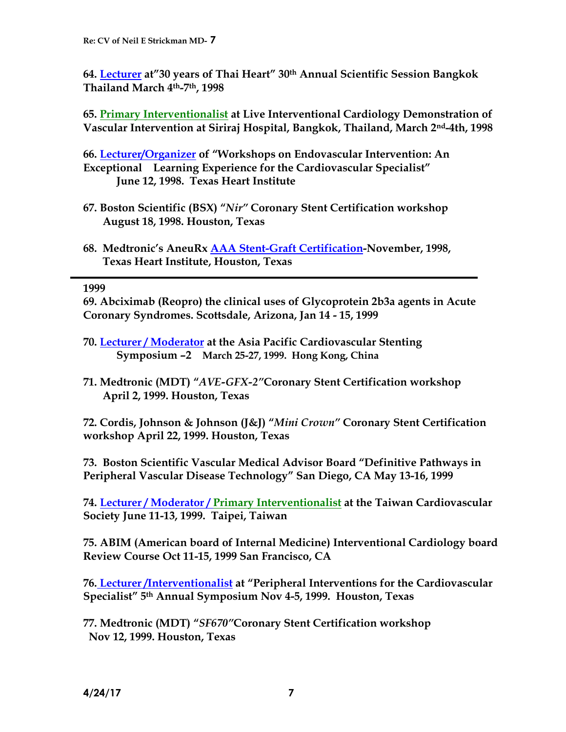**64. Lecturer at"30 years of Thai Heart" 30th Annual Scientific Session Bangkok Thailand March 4th-7th, 1998**

**65. Primary Interventionalist at Live Interventional Cardiology Demonstration of Vascular Intervention at Siriraj Hospital, Bangkok, Thailand, March 2nd-4th, 1998**

**66. Lecturer/Organizer of "Workshops on Endovascular Intervention: An Exceptional Learning Experience for the Cardiovascular Specialist" June 12, 1998. Texas Heart Institute**

- **67. Boston Scientific (BSX) "***Nir"* **Coronary Stent Certification workshop August 18, 1998. Houston, Texas**
- **68. Medtronic's AneuRx AAA Stent-Graft Certification-November, 1998, Texas Heart Institute, Houston, Texas**

**1999**

**69. Abciximab (Reopro) the clinical uses of Glycoprotein 2b3a agents in Acute Coronary Syndromes. Scottsdale, Arizona, Jan 14 - 15, 1999**

- **70. Lecturer / Moderator at the Asia Pacific Cardiovascular Stenting Symposium –2 March 25-27, 1999. Hong Kong, China**
- **71. Medtronic (MDT) "***AVE-GFX-2"***Coronary Stent Certification workshop April 2, 1999. Houston, Texas**

**72. Cordis, Johnson & Johnson (J&J) "***Mini Crown"* **Coronary Stent Certification workshop April 22, 1999. Houston, Texas**

**73. Boston Scientific Vascular Medical Advisor Board "Definitive Pathways in Peripheral Vascular Disease Technology" San Diego, CA May 13-16, 1999**

**74. Lecturer / Moderator / Primary Interventionalist at the Taiwan Cardiovascular Society June 11-13, 1999. Taipei, Taiwan** 

**75. ABIM (American board of Internal Medicine) Interventional Cardiology board Review Course Oct 11-15, 1999 San Francisco, CA**

**76. Lecturer /Interventionalist at "Peripheral Interventions for the Cardiovascular Specialist" 5th Annual Symposium Nov 4-5, 1999. Houston, Texas**

**77. Medtronic (MDT) "***SF670"***Coronary Stent Certification workshop Nov 12, 1999. Houston, Texas**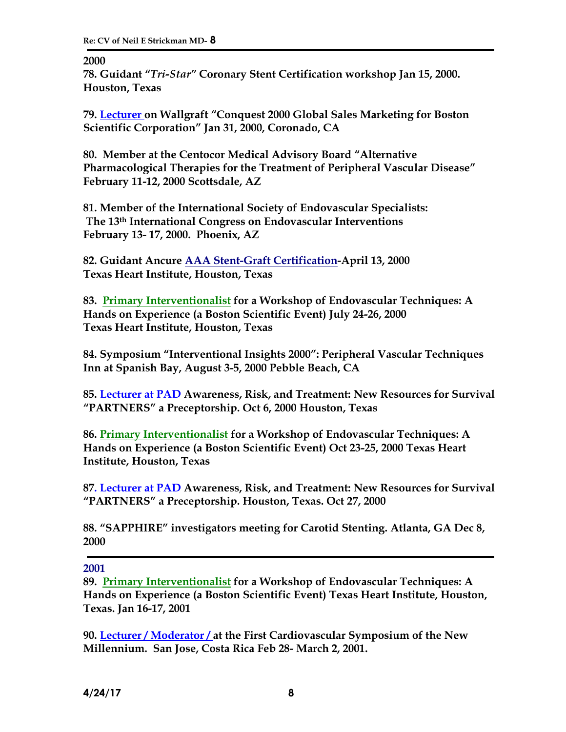**2000**

**78. Guidant "***Tri-Star"* **Coronary Stent Certification workshop Jan 15, 2000. Houston, Texas**

**79. Lecturer on Wallgraft "Conquest 2000 Global Sales Marketing for Boston Scientific Corporation" Jan 31, 2000, Coronado, CA**

**80. Member at the Centocor Medical Advisory Board "Alternative Pharmacological Therapies for the Treatment of Peripheral Vascular Disease" February 11-12, 2000 Scottsdale, AZ** 

**81. Member of the International Society of Endovascular Specialists: The 13th International Congress on Endovascular Interventions February 13- 17, 2000. Phoenix, AZ**

**82. Guidant Ancure AAA Stent-Graft Certification-April 13, 2000 Texas Heart Institute, Houston, Texas**

**83. Primary Interventionalist for a Workshop of Endovascular Techniques: A Hands on Experience (a Boston Scientific Event) July 24-26, 2000 Texas Heart Institute, Houston, Texas**

**84. Symposium "Interventional Insights 2000": Peripheral Vascular Techniques Inn at Spanish Bay, August 3-5, 2000 Pebble Beach, CA**

**85. Lecturer at PAD Awareness, Risk, and Treatment: New Resources for Survival "PARTNERS" a Preceptorship. Oct 6, 2000 Houston, Texas**

**86. Primary Interventionalist for a Workshop of Endovascular Techniques: A Hands on Experience (a Boston Scientific Event) Oct 23-25, 2000 Texas Heart Institute, Houston, Texas**

**87. Lecturer at PAD Awareness, Risk, and Treatment: New Resources for Survival "PARTNERS" a Preceptorship. Houston, Texas. Oct 27, 2000**

**88. "SAPPHIRE" investigators meeting for Carotid Stenting. Atlanta, GA Dec 8, 2000**

**2001**

**89. Primary Interventionalist for a Workshop of Endovascular Techniques: A Hands on Experience (a Boston Scientific Event) Texas Heart Institute, Houston, Texas. Jan 16-17, 2001**

**90. Lecturer / Moderator / at the First Cardiovascular Symposium of the New Millennium. San Jose, Costa Rica Feb 28- March 2, 2001.**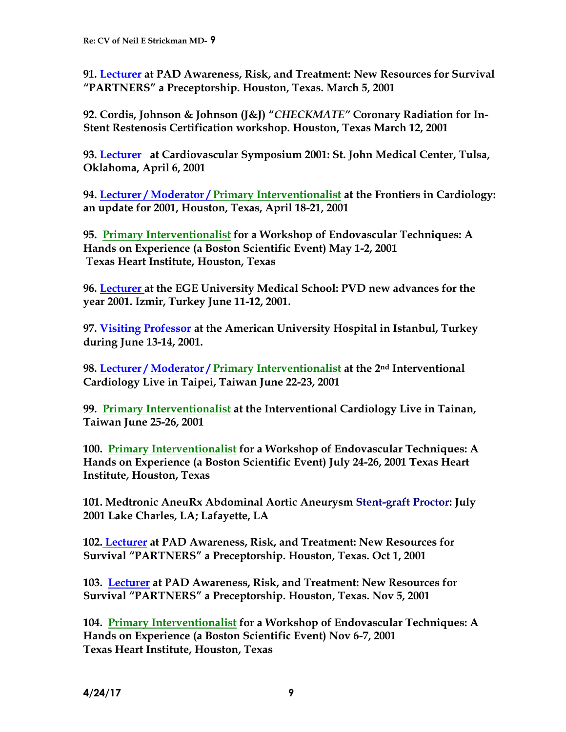**91. Lecturer at PAD Awareness, Risk, and Treatment: New Resources for Survival "PARTNERS" a Preceptorship. Houston, Texas. March 5, 2001**

**92. Cordis, Johnson & Johnson (J&J) "***CHECKMATE"* **Coronary Radiation for In-Stent Restenosis Certification workshop. Houston, Texas March 12, 2001**

**93. Lecturer at Cardiovascular Symposium 2001: St. John Medical Center, Tulsa, Oklahoma, April 6, 2001** 

**94. Lecturer / Moderator / Primary Interventionalist at the Frontiers in Cardiology: an update for 2001, Houston, Texas, April 18-21, 2001**

**95. Primary Interventionalist for a Workshop of Endovascular Techniques: A Hands on Experience (a Boston Scientific Event) May 1-2, 2001 Texas Heart Institute, Houston, Texas**

**96. Lecturer at the EGE University Medical School: PVD new advances for the year 2001. Izmir, Turkey June 11-12, 2001.**

**97. Visiting Professor at the American University Hospital in Istanbul, Turkey during June 13-14, 2001.**

**98. Lecturer / Moderator / Primary Interventionalist at the 2nd Interventional Cardiology Live in Taipei, Taiwan June 22-23, 2001**

**99. Primary Interventionalist at the Interventional Cardiology Live in Tainan, Taiwan June 25-26, 2001**

**100. Primary Interventionalist for a Workshop of Endovascular Techniques: A Hands on Experience (a Boston Scientific Event) July 24-26, 2001 Texas Heart Institute, Houston, Texas**

**101. Medtronic AneuRx Abdominal Aortic Aneurysm Stent-graft Proctor: July 2001 Lake Charles, LA; Lafayette, LA**

**102. Lecturer at PAD Awareness, Risk, and Treatment: New Resources for Survival "PARTNERS" a Preceptorship. Houston, Texas. Oct 1, 2001**

**103. Lecturer at PAD Awareness, Risk, and Treatment: New Resources for Survival "PARTNERS" a Preceptorship. Houston, Texas. Nov 5, 2001**

**104. Primary Interventionalist for a Workshop of Endovascular Techniques: A Hands on Experience (a Boston Scientific Event) Nov 6-7, 2001 Texas Heart Institute, Houston, Texas**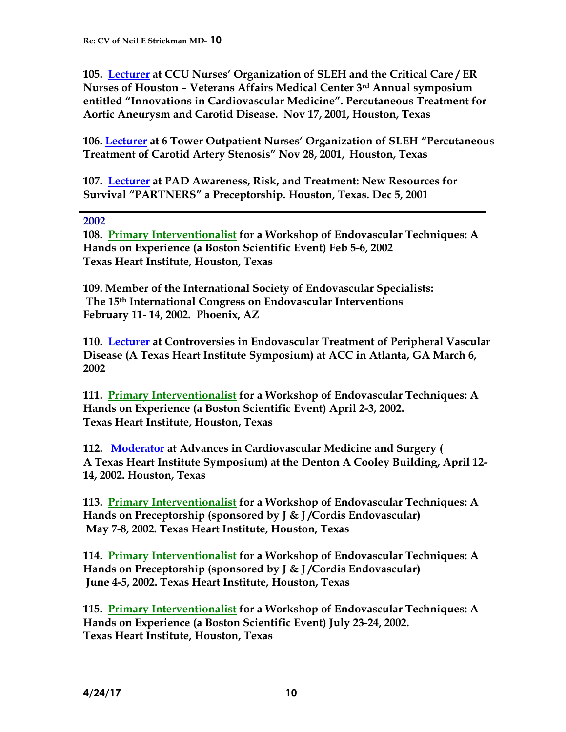**105. Lecturer at CCU Nurses' Organization of SLEH and the Critical Care / ER Nurses of Houston – Veterans Affairs Medical Center 3rd Annual symposium entitled "Innovations in Cardiovascular Medicine". Percutaneous Treatment for Aortic Aneurysm and Carotid Disease. Nov 17, 2001, Houston, Texas**

**106. Lecturer at 6 Tower Outpatient Nurses' Organization of SLEH "Percutaneous Treatment of Carotid Artery Stenosis" Nov 28, 2001, Houston, Texas**

**107. Lecturer at PAD Awareness, Risk, and Treatment: New Resources for Survival "PARTNERS" a Preceptorship. Houston, Texas. Dec 5, 2001**

#### **2002**

**108. Primary Interventionalist for a Workshop of Endovascular Techniques: A Hands on Experience (a Boston Scientific Event) Feb 5-6, 2002 Texas Heart Institute, Houston, Texas**

**109. Member of the International Society of Endovascular Specialists: The 15th International Congress on Endovascular Interventions February 11- 14, 2002. Phoenix, AZ**

**110. Lecturer at Controversies in Endovascular Treatment of Peripheral Vascular Disease (A Texas Heart Institute Symposium) at ACC in Atlanta, GA March 6, 2002**

**111. Primary Interventionalist for a Workshop of Endovascular Techniques: A Hands on Experience (a Boston Scientific Event) April 2-3, 2002. Texas Heart Institute, Houston, Texas**

**112. Moderator at Advances in Cardiovascular Medicine and Surgery ( A Texas Heart Institute Symposium) at the Denton A Cooley Building, April 12- 14, 2002. Houston, Texas**

**113. Primary Interventionalist for a Workshop of Endovascular Techniques: A Hands on Preceptorship (sponsored by J & J /Cordis Endovascular) May 7-8, 2002. Texas Heart Institute, Houston, Texas**

**114. Primary Interventionalist for a Workshop of Endovascular Techniques: A Hands on Preceptorship (sponsored by J & J /Cordis Endovascular) June 4-5, 2002. Texas Heart Institute, Houston, Texas**

**115. Primary Interventionalist for a Workshop of Endovascular Techniques: A Hands on Experience (a Boston Scientific Event) July 23-24, 2002. Texas Heart Institute, Houston, Texas**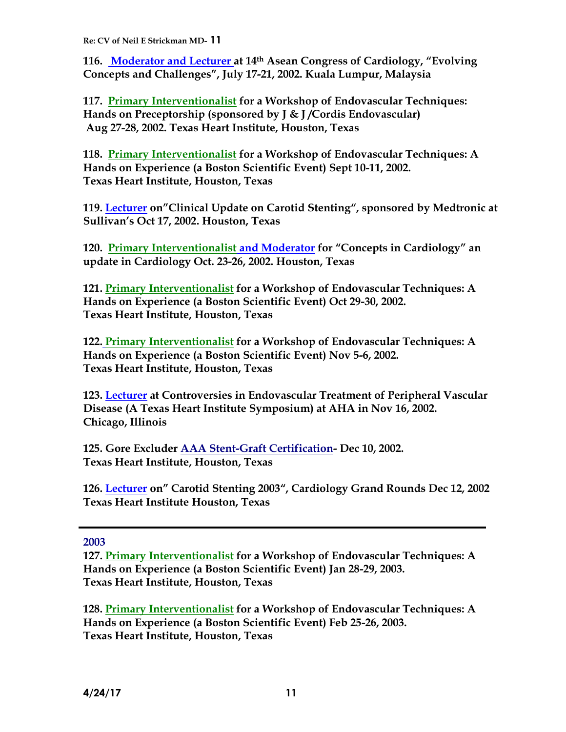**116. Moderator and Lecturer at 14th Asean Congress of Cardiology, "Evolving Concepts and Challenges", July 17-21, 2002. Kuala Lumpur, Malaysia**

**117. Primary Interventionalist for a Workshop of Endovascular Techniques: Hands on Preceptorship (sponsored by J & J /Cordis Endovascular) Aug 27-28, 2002. Texas Heart Institute, Houston, Texas**

**118. Primary Interventionalist for a Workshop of Endovascular Techniques: A Hands on Experience (a Boston Scientific Event) Sept 10-11, 2002. Texas Heart Institute, Houston, Texas**

**119. Lecturer on"Clinical Update on Carotid Stenting", sponsored by Medtronic at Sullivan's Oct 17, 2002. Houston, Texas**

**120. Primary Interventionalist and Moderator for "Concepts in Cardiology" an update in Cardiology Oct. 23-26, 2002. Houston, Texas**

**121. Primary Interventionalist for a Workshop of Endovascular Techniques: A Hands on Experience (a Boston Scientific Event) Oct 29-30, 2002. Texas Heart Institute, Houston, Texas**

**122. Primary Interventionalist for a Workshop of Endovascular Techniques: A Hands on Experience (a Boston Scientific Event) Nov 5-6, 2002. Texas Heart Institute, Houston, Texas**

**123. Lecturer at Controversies in Endovascular Treatment of Peripheral Vascular Disease (A Texas Heart Institute Symposium) at AHA in Nov 16, 2002. Chicago, Illinois**

**125. Gore Excluder AAA Stent-Graft Certification- Dec 10, 2002. Texas Heart Institute, Houston, Texas**

**126. Lecturer on" Carotid Stenting 2003", Cardiology Grand Rounds Dec 12, 2002 Texas Heart Institute Houston, Texas**

**2003**

**127. Primary Interventionalist for a Workshop of Endovascular Techniques: A Hands on Experience (a Boston Scientific Event) Jan 28-29, 2003. Texas Heart Institute, Houston, Texas**

**128. Primary Interventionalist for a Workshop of Endovascular Techniques: A Hands on Experience (a Boston Scientific Event) Feb 25-26, 2003. Texas Heart Institute, Houston, Texas**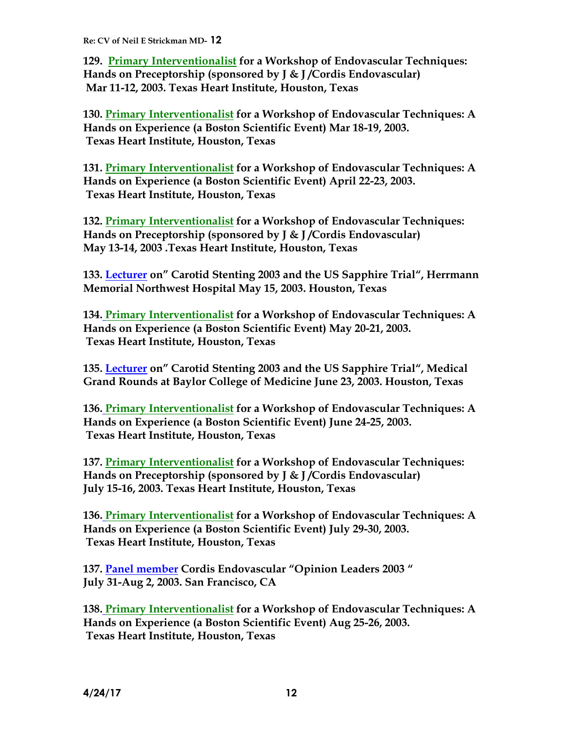**129. Primary Interventionalist for a Workshop of Endovascular Techniques: Hands on Preceptorship (sponsored by J & J /Cordis Endovascular) Mar 11-12, 2003. Texas Heart Institute, Houston, Texas**

**130. Primary Interventionalist for a Workshop of Endovascular Techniques: A Hands on Experience (a Boston Scientific Event) Mar 18-19, 2003. Texas Heart Institute, Houston, Texas**

**131. Primary Interventionalist for a Workshop of Endovascular Techniques: A Hands on Experience (a Boston Scientific Event) April 22-23, 2003. Texas Heart Institute, Houston, Texas**

**132. Primary Interventionalist for a Workshop of Endovascular Techniques: Hands on Preceptorship (sponsored by J & J /Cordis Endovascular) May 13-14, 2003 .Texas Heart Institute, Houston, Texas**

**133. Lecturer on" Carotid Stenting 2003 and the US Sapphire Trial", Herrmann Memorial Northwest Hospital May 15, 2003. Houston, Texas**

**134. Primary Interventionalist for a Workshop of Endovascular Techniques: A Hands on Experience (a Boston Scientific Event) May 20-21, 2003. Texas Heart Institute, Houston, Texas**

**135. Lecturer on" Carotid Stenting 2003 and the US Sapphire Trial", Medical Grand Rounds at Baylor College of Medicine June 23, 2003. Houston, Texas**

**136. Primary Interventionalist for a Workshop of Endovascular Techniques: A Hands on Experience (a Boston Scientific Event) June 24-25, 2003. Texas Heart Institute, Houston, Texas**

**137. Primary Interventionalist for a Workshop of Endovascular Techniques: Hands on Preceptorship (sponsored by J & J /Cordis Endovascular) July 15-16, 2003. Texas Heart Institute, Houston, Texas**

**136. Primary Interventionalist for a Workshop of Endovascular Techniques: A Hands on Experience (a Boston Scientific Event) July 29-30, 2003. Texas Heart Institute, Houston, Texas**

**137. Panel member Cordis Endovascular "Opinion Leaders 2003 " July 31-Aug 2, 2003. San Francisco, CA**

**138. Primary Interventionalist for a Workshop of Endovascular Techniques: A Hands on Experience (a Boston Scientific Event) Aug 25-26, 2003. Texas Heart Institute, Houston, Texas**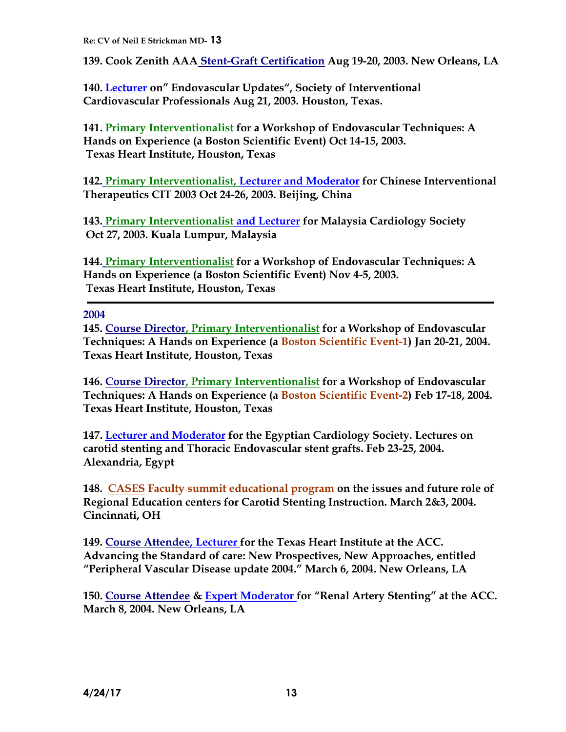**139. Cook Zenith AAA Stent-Graft Certification Aug 19-20, 2003. New Orleans, LA** 

**140. Lecturer on" Endovascular Updates", Society of Interventional Cardiovascular Professionals Aug 21, 2003. Houston, Texas.**

**141. Primary Interventionalist for a Workshop of Endovascular Techniques: A Hands on Experience (a Boston Scientific Event) Oct 14-15, 2003. Texas Heart Institute, Houston, Texas**

**142. Primary Interventionalist, Lecturer and Moderator for Chinese Interventional Therapeutics CIT 2003 Oct 24-26, 2003. Beijing, China**

**143. Primary Interventionalist and Lecturer for Malaysia Cardiology Society Oct 27, 2003. Kuala Lumpur, Malaysia**

**144. Primary Interventionalist for a Workshop of Endovascular Techniques: A Hands on Experience (a Boston Scientific Event) Nov 4-5, 2003. Texas Heart Institute, Houston, Texas**

**2004**

**145. Course Director, Primary Interventionalist for a Workshop of Endovascular Techniques: A Hands on Experience (a Boston Scientific Event-1) Jan 20-21, 2004. Texas Heart Institute, Houston, Texas**

**146. Course Director, Primary Interventionalist for a Workshop of Endovascular Techniques: A Hands on Experience (a Boston Scientific Event-2) Feb 17-18, 2004. Texas Heart Institute, Houston, Texas**

**147. Lecturer and Moderator for the Egyptian Cardiology Society. Lectures on carotid stenting and Thoracic Endovascular stent grafts. Feb 23-25, 2004. Alexandria, Egypt** 

**148. CASES Faculty summit educational program on the issues and future role of Regional Education centers for Carotid Stenting Instruction. March 2&3, 2004. Cincinnati, OH**

**149. Course Attendee, Lecturer for the Texas Heart Institute at the ACC. Advancing the Standard of care: New Prospectives, New Approaches, entitled "Peripheral Vascular Disease update 2004." March 6, 2004. New Orleans, LA** 

**150. Course Attendee & Expert Moderator for "Renal Artery Stenting" at the ACC. March 8, 2004. New Orleans, LA**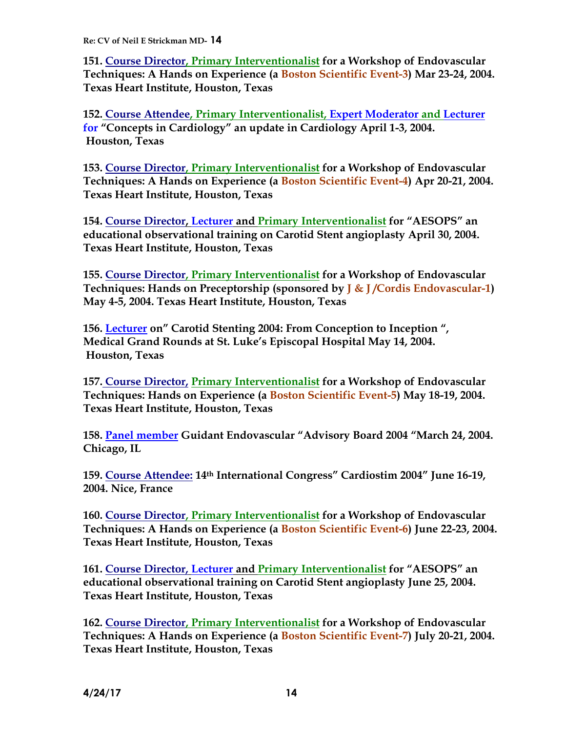**151. Course Director, Primary Interventionalist for a Workshop of Endovascular Techniques: A Hands on Experience (a Boston Scientific Event-3) Mar 23-24, 2004. Texas Heart Institute, Houston, Texas**

**152. Course Attendee, Primary Interventionalist, Expert Moderator and Lecturer for "Concepts in Cardiology" an update in Cardiology April 1-3, 2004. Houston, Texas**

**153. Course Director, Primary Interventionalist for a Workshop of Endovascular Techniques: A Hands on Experience (a Boston Scientific Event-4) Apr 20-21, 2004. Texas Heart Institute, Houston, Texas**

**154. Course Director, Lecturer and Primary Interventionalist for "AESOPS" an educational observational training on Carotid Stent angioplasty April 30, 2004. Texas Heart Institute, Houston, Texas**

**155. Course Director, Primary Interventionalist for a Workshop of Endovascular Techniques: Hands on Preceptorship (sponsored by J & J /Cordis Endovascular-1) May 4-5, 2004. Texas Heart Institute, Houston, Texas**

**156. Lecturer on" Carotid Stenting 2004: From Conception to Inception ", Medical Grand Rounds at St. Luke's Episcopal Hospital May 14, 2004. Houston, Texas**

**157. Course Director, Primary Interventionalist for a Workshop of Endovascular Techniques: Hands on Experience (a Boston Scientific Event-5) May 18-19, 2004. Texas Heart Institute, Houston, Texas**

**158. Panel member Guidant Endovascular "Advisory Board 2004 "March 24, 2004. Chicago, IL**

**159. Course Attendee: 14th International Congress" Cardiostim 2004" June 16-19, 2004. Nice, France**

**160. Course Director, Primary Interventionalist for a Workshop of Endovascular Techniques: A Hands on Experience (a Boston Scientific Event-6) June 22-23, 2004. Texas Heart Institute, Houston, Texas**

**161. Course Director, Lecturer and Primary Interventionalist for "AESOPS" an educational observational training on Carotid Stent angioplasty June 25, 2004. Texas Heart Institute, Houston, Texas**

**162. Course Director, Primary Interventionalist for a Workshop of Endovascular Techniques: A Hands on Experience (a Boston Scientific Event-7) July 20-21, 2004. Texas Heart Institute, Houston, Texas**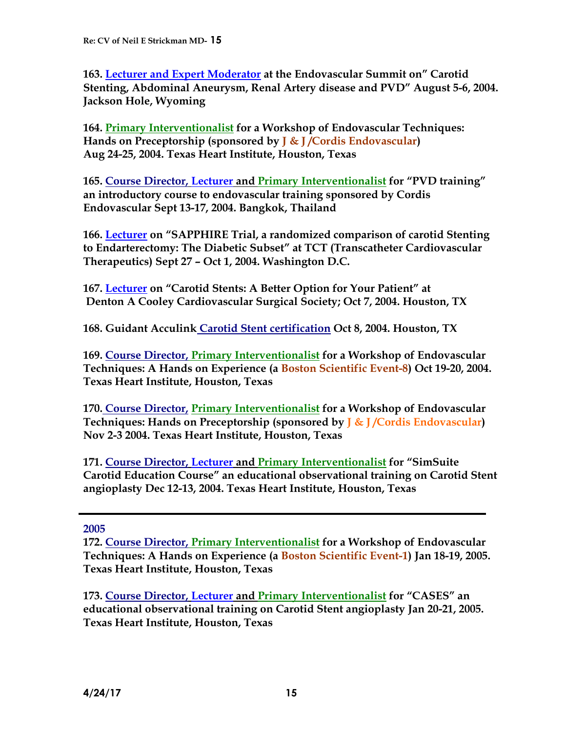**163. Lecturer and Expert Moderator at the Endovascular Summit on" Carotid Stenting, Abdominal Aneurysm, Renal Artery disease and PVD" August 5-6, 2004. Jackson Hole, Wyoming** 

**164. Primary Interventionalist for a Workshop of Endovascular Techniques: Hands on Preceptorship (sponsored by J & J /Cordis Endovascular) Aug 24-25, 2004. Texas Heart Institute, Houston, Texas**

**165. Course Director, Lecturer and Primary Interventionalist for "PVD training" an introductory course to endovascular training sponsored by Cordis Endovascular Sept 13-17, 2004. Bangkok, Thailand**

**166. Lecturer on "SAPPHIRE Trial, a randomized comparison of carotid Stenting to Endarterectomy: The Diabetic Subset" at TCT (Transcatheter Cardiovascular Therapeutics) Sept 27 – Oct 1, 2004. Washington D.C.**

**167. Lecturer on "Carotid Stents: A Better Option for Your Patient" at Denton A Cooley Cardiovascular Surgical Society; Oct 7, 2004. Houston, TX**

**168. Guidant Acculink Carotid Stent certification Oct 8, 2004. Houston, TX**

**169. Course Director, Primary Interventionalist for a Workshop of Endovascular Techniques: A Hands on Experience (a Boston Scientific Event-8) Oct 19-20, 2004. Texas Heart Institute, Houston, Texas**

**170. Course Director, Primary Interventionalist for a Workshop of Endovascular Techniques: Hands on Preceptorship (sponsored by J & J /Cordis Endovascular) Nov 2-3 2004. Texas Heart Institute, Houston, Texas**

**171. Course Director, Lecturer and Primary Interventionalist for "SimSuite Carotid Education Course" an educational observational training on Carotid Stent angioplasty Dec 12-13, 2004. Texas Heart Institute, Houston, Texas**

## **2005**

**172. Course Director, Primary Interventionalist for a Workshop of Endovascular Techniques: A Hands on Experience (a Boston Scientific Event-1) Jan 18-19, 2005. Texas Heart Institute, Houston, Texas**

**173. Course Director, Lecturer and Primary Interventionalist for "CASES" an educational observational training on Carotid Stent angioplasty Jan 20-21, 2005. Texas Heart Institute, Houston, Texas**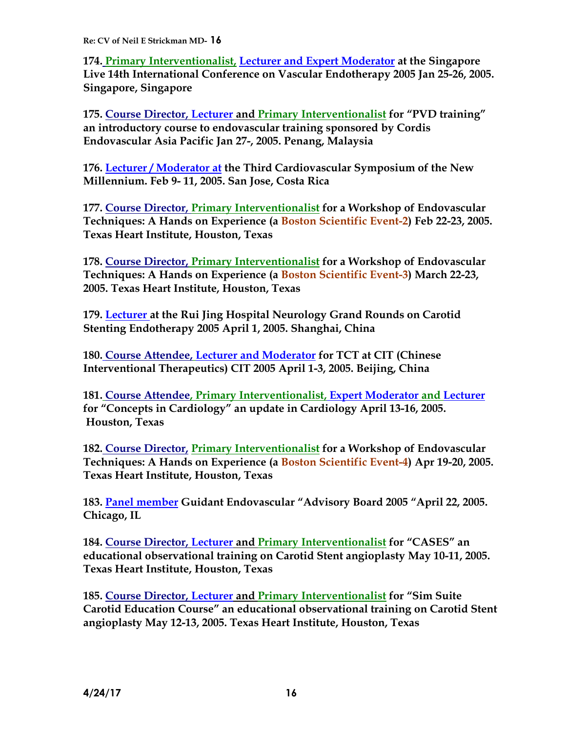**174. Primary Interventionalist, Lecturer and Expert Moderator at the Singapore Live 14th International Conference on Vascular Endotherapy 2005 Jan 25-26, 2005. Singapore, Singapore**

**175. Course Director, Lecturer and Primary Interventionalist for "PVD training" an introductory course to endovascular training sponsored by Cordis Endovascular Asia Pacific Jan 27-, 2005. Penang, Malaysia**

**176. Lecturer / Moderator at the Third Cardiovascular Symposium of the New Millennium. Feb 9- 11, 2005. San Jose, Costa Rica**

**177. Course Director, Primary Interventionalist for a Workshop of Endovascular Techniques: A Hands on Experience (a Boston Scientific Event-2) Feb 22-23, 2005. Texas Heart Institute, Houston, Texas**

**178. Course Director, Primary Interventionalist for a Workshop of Endovascular Techniques: A Hands on Experience (a Boston Scientific Event-3) March 22-23, 2005. Texas Heart Institute, Houston, Texas**

**179. Lecturer at the Rui Jing Hospital Neurology Grand Rounds on Carotid Stenting Endotherapy 2005 April 1, 2005. Shanghai, China** 

**180. Course Attendee, Lecturer and Moderator for TCT at CIT (Chinese Interventional Therapeutics) CIT 2005 April 1-3, 2005. Beijing, China**

**181. Course Attendee, Primary Interventionalist, Expert Moderator and Lecturer for "Concepts in Cardiology" an update in Cardiology April 13-16, 2005. Houston, Texas**

**182. Course Director, Primary Interventionalist for a Workshop of Endovascular Techniques: A Hands on Experience (a Boston Scientific Event-4) Apr 19-20, 2005. Texas Heart Institute, Houston, Texas**

**183. Panel member Guidant Endovascular "Advisory Board 2005 "April 22, 2005. Chicago, IL**

**184. Course Director, Lecturer and Primary Interventionalist for "CASES" an educational observational training on Carotid Stent angioplasty May 10-11, 2005. Texas Heart Institute, Houston, Texas**

**185. Course Director, Lecturer and Primary Interventionalist for "Sim Suite Carotid Education Course" an educational observational training on Carotid Stent angioplasty May 12-13, 2005. Texas Heart Institute, Houston, Texas**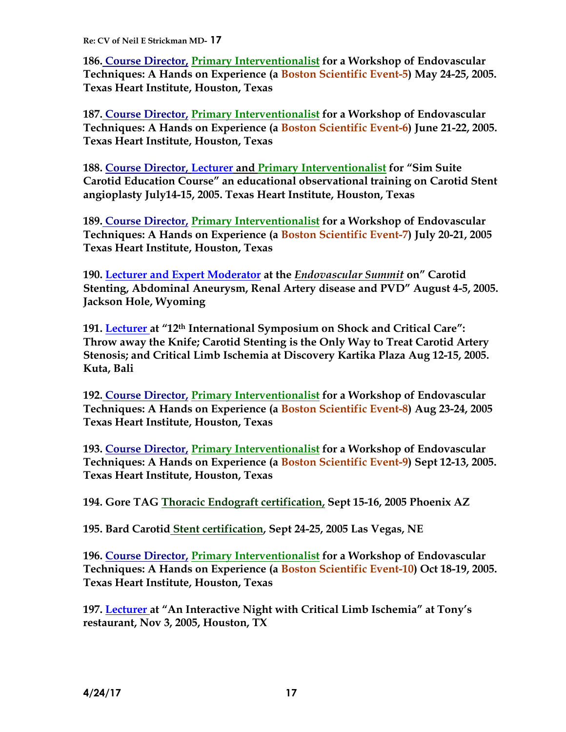**186. Course Director, Primary Interventionalist for a Workshop of Endovascular Techniques: A Hands on Experience (a Boston Scientific Event-5) May 24-25, 2005. Texas Heart Institute, Houston, Texas**

**187. Course Director, Primary Interventionalist for a Workshop of Endovascular Techniques: A Hands on Experience (a Boston Scientific Event-6) June 21-22, 2005. Texas Heart Institute, Houston, Texas**

**188. Course Director, Lecturer and Primary Interventionalist for "Sim Suite Carotid Education Course" an educational observational training on Carotid Stent angioplasty July14-15, 2005. Texas Heart Institute, Houston, Texas**

**189. Course Director, Primary Interventionalist for a Workshop of Endovascular Techniques: A Hands on Experience (a Boston Scientific Event-7) July 20-21, 2005 Texas Heart Institute, Houston, Texas**

**190. Lecturer and Expert Moderator at the** *Endovascular Summit* **on" Carotid Stenting, Abdominal Aneurysm, Renal Artery disease and PVD" August 4-5, 2005. Jackson Hole, Wyoming** 

**191. Lecturer at "12th International Symposium on Shock and Critical Care": Throw away the Knife; Carotid Stenting is the Only Way to Treat Carotid Artery Stenosis; and Critical Limb Ischemia at Discovery Kartika Plaza Aug 12-15, 2005. Kuta, Bali**

**192. Course Director, Primary Interventionalist for a Workshop of Endovascular Techniques: A Hands on Experience (a Boston Scientific Event-8) Aug 23-24, 2005 Texas Heart Institute, Houston, Texas**

**193. Course Director, Primary Interventionalist for a Workshop of Endovascular Techniques: A Hands on Experience (a Boston Scientific Event-9) Sept 12-13, 2005. Texas Heart Institute, Houston, Texas**

**194. Gore TAG Thoracic Endograft certification, Sept 15-16, 2005 Phoenix AZ**

**195. Bard Carotid Stent certification, Sept 24-25, 2005 Las Vegas, NE**

**196. Course Director, Primary Interventionalist for a Workshop of Endovascular Techniques: A Hands on Experience (a Boston Scientific Event-10) Oct 18-19, 2005. Texas Heart Institute, Houston, Texas**

**197. Lecturer at "An Interactive Night with Critical Limb Ischemia" at Tony's restaurant, Nov 3, 2005, Houston, TX**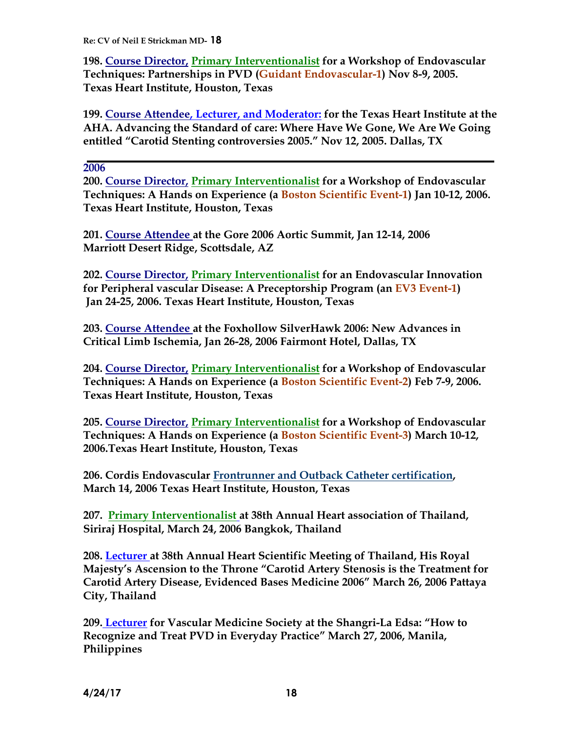**198. Course Director, Primary Interventionalist for a Workshop of Endovascular Techniques: Partnerships in PVD (Guidant Endovascular-1) Nov 8-9, 2005. Texas Heart Institute, Houston, Texas**

**199. Course Attendee, Lecturer, and Moderator: for the Texas Heart Institute at the AHA. Advancing the Standard of care: Where Have We Gone, We Are We Going entitled "Carotid Stenting controversies 2005." Nov 12, 2005. Dallas, TX**

**2006**

**200. Course Director, Primary Interventionalist for a Workshop of Endovascular Techniques: A Hands on Experience (a Boston Scientific Event-1) Jan 10-12, 2006. Texas Heart Institute, Houston, Texas**

**201. Course Attendee at the Gore 2006 Aortic Summit, Jan 12-14, 2006 Marriott Desert Ridge, Scottsdale, AZ**

**202. Course Director, Primary Interventionalist for an Endovascular Innovation for Peripheral vascular Disease: A Preceptorship Program (an EV3 Event-1) Jan 24-25, 2006. Texas Heart Institute, Houston, Texas**

**203. Course Attendee at the Foxhollow SilverHawk 2006: New Advances in Critical Limb Ischemia, Jan 26-28, 2006 Fairmont Hotel, Dallas, TX** 

**204. Course Director, Primary Interventionalist for a Workshop of Endovascular Techniques: A Hands on Experience (a Boston Scientific Event-2) Feb 7-9, 2006. Texas Heart Institute, Houston, Texas**

**205. Course Director, Primary Interventionalist for a Workshop of Endovascular Techniques: A Hands on Experience (a Boston Scientific Event-3) March 10-12, 2006.Texas Heart Institute, Houston, Texas**

**206. Cordis Endovascular Frontrunner and Outback Catheter certification, March 14, 2006 Texas Heart Institute, Houston, Texas**

**207. Primary Interventionalist at 38th Annual Heart association of Thailand, Siriraj Hospital, March 24, 2006 Bangkok, Thailand**

**208. Lecturer at 38th Annual Heart Scientific Meeting of Thailand, His Royal Majesty's Ascension to the Throne "Carotid Artery Stenosis is the Treatment for Carotid Artery Disease, Evidenced Bases Medicine 2006" March 26, 2006 Pattaya City, Thailand**

**209. Lecturer for Vascular Medicine Society at the Shangri-La Edsa: "How to Recognize and Treat PVD in Everyday Practice" March 27, 2006, Manila, Philippines**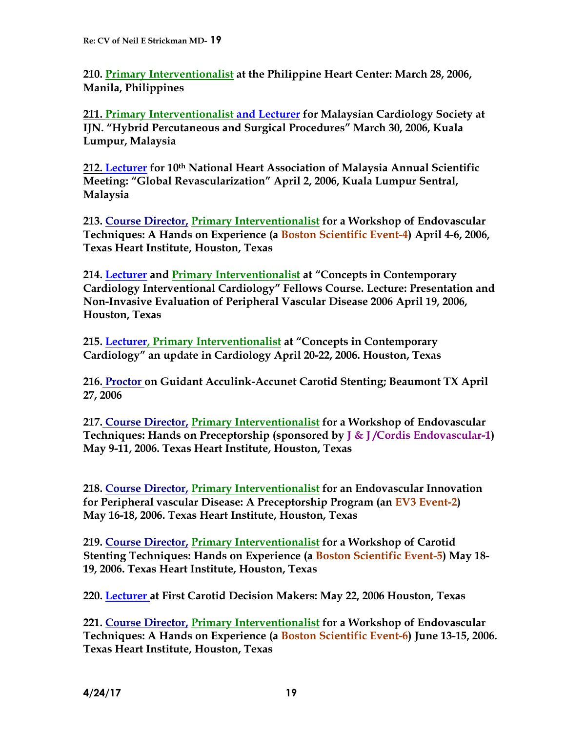**210. Primary Interventionalist at the Philippine Heart Center: March 28, 2006, Manila, Philippines**

**211. Primary Interventionalist and Lecturer for Malaysian Cardiology Society at IJN. "Hybrid Percutaneous and Surgical Procedures" March 30, 2006, Kuala Lumpur, Malaysia**

**212. Lecturer for 10th National Heart Association of Malaysia Annual Scientific Meeting: "Global Revascularization" April 2, 2006, Kuala Lumpur Sentral, Malaysia**

**213. Course Director, Primary Interventionalist for a Workshop of Endovascular Techniques: A Hands on Experience (a Boston Scientific Event-4) April 4-6, 2006, Texas Heart Institute, Houston, Texas**

**214. Lecturer and Primary Interventionalist at "Concepts in Contemporary Cardiology Interventional Cardiology" Fellows Course. Lecture: Presentation and Non-Invasive Evaluation of Peripheral Vascular Disease 2006 April 19, 2006, Houston, Texas**

**215. Lecturer, Primary Interventionalist at "Concepts in Contemporary Cardiology" an update in Cardiology April 20-22, 2006. Houston, Texas**

**216. Proctor on Guidant Acculink-Accunet Carotid Stenting; Beaumont TX April 27, 2006**

**217. Course Director, Primary Interventionalist for a Workshop of Endovascular Techniques: Hands on Preceptorship (sponsored by J & J /Cordis Endovascular-1) May 9-11, 2006. Texas Heart Institute, Houston, Texas**

**218. Course Director, Primary Interventionalist for an Endovascular Innovation for Peripheral vascular Disease: A Preceptorship Program (an EV3 Event-2) May 16-18, 2006. Texas Heart Institute, Houston, Texas**

**219. Course Director, Primary Interventionalist for a Workshop of Carotid Stenting Techniques: Hands on Experience (a Boston Scientific Event-5) May 18- 19, 2006. Texas Heart Institute, Houston, Texas**

**220. Lecturer at First Carotid Decision Makers: May 22, 2006 Houston, Texas** 

**221. Course Director, Primary Interventionalist for a Workshop of Endovascular Techniques: A Hands on Experience (a Boston Scientific Event-6) June 13-15, 2006. Texas Heart Institute, Houston, Texas**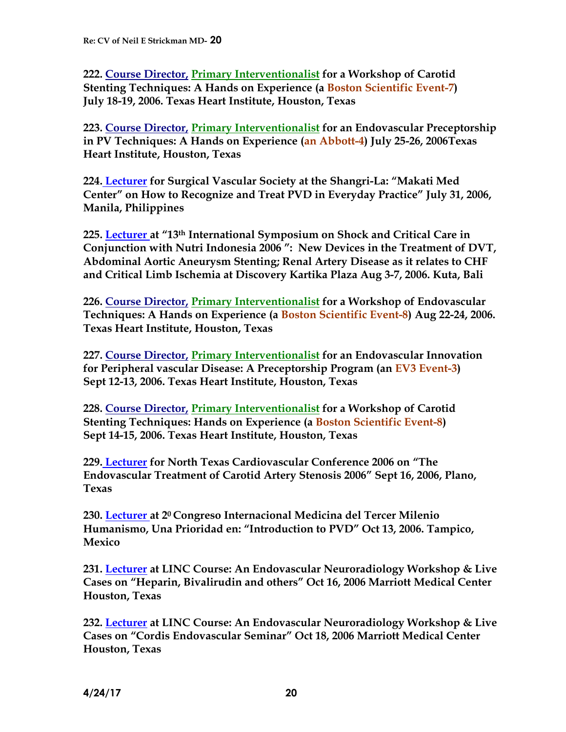**222. Course Director, Primary Interventionalist for a Workshop of Carotid Stenting Techniques: A Hands on Experience (a Boston Scientific Event-7) July 18-19, 2006. Texas Heart Institute, Houston, Texas**

**223. Course Director, Primary Interventionalist for an Endovascular Preceptorship in PV Techniques: A Hands on Experience (an Abbott-4) July 25-26, 2006Texas Heart Institute, Houston, Texas**

**224. Lecturer for Surgical Vascular Society at the Shangri-La: "Makati Med Center" on How to Recognize and Treat PVD in Everyday Practice" July 31, 2006, Manila, Philippines**

**225. Lecturer at "13th International Symposium on Shock and Critical Care in Conjunction with Nutri Indonesia 2006 ": New Devices in the Treatment of DVT, Abdominal Aortic Aneurysm Stenting; Renal Artery Disease as it relates to CHF and Critical Limb Ischemia at Discovery Kartika Plaza Aug 3-7, 2006. Kuta, Bali**

**226. Course Director, Primary Interventionalist for a Workshop of Endovascular Techniques: A Hands on Experience (a Boston Scientific Event-8) Aug 22-24, 2006. Texas Heart Institute, Houston, Texas**

**227. Course Director, Primary Interventionalist for an Endovascular Innovation for Peripheral vascular Disease: A Preceptorship Program (an EV3 Event-3) Sept 12-13, 2006. Texas Heart Institute, Houston, Texas**

**228. Course Director, Primary Interventionalist for a Workshop of Carotid Stenting Techniques: Hands on Experience (a Boston Scientific Event-8) Sept 14-15, 2006. Texas Heart Institute, Houston, Texas**

**229. Lecturer for North Texas Cardiovascular Conference 2006 on "The Endovascular Treatment of Carotid Artery Stenosis 2006" Sept 16, 2006, Plano, Texas**

**230. Lecturer at 20 Congreso Internacional Medicina del Tercer Milenio Humanismo, Una Prioridad en: "Introduction to PVD" Oct 13, 2006. Tampico, Mexico**

**231. Lecturer at LINC Course: An Endovascular Neuroradiology Workshop & Live Cases on "Heparin, Bivalirudin and others" Oct 16, 2006 Marriott Medical Center Houston, Texas**

**232. Lecturer at LINC Course: An Endovascular Neuroradiology Workshop & Live Cases on "Cordis Endovascular Seminar" Oct 18, 2006 Marriott Medical Center Houston, Texas**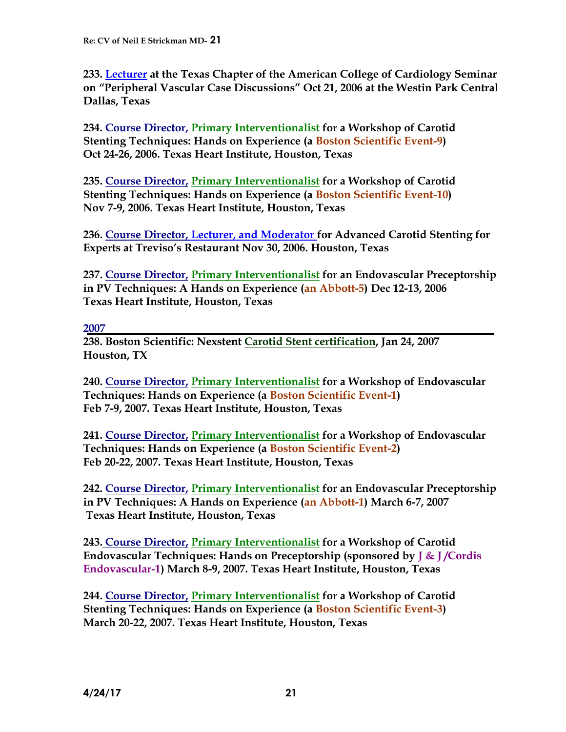**233. Lecturer at the Texas Chapter of the American College of Cardiology Seminar on "Peripheral Vascular Case Discussions" Oct 21, 2006 at the Westin Park Central Dallas, Texas**

**234. Course Director, Primary Interventionalist for a Workshop of Carotid Stenting Techniques: Hands on Experience (a Boston Scientific Event-9) Oct 24-26, 2006. Texas Heart Institute, Houston, Texas**

**235. Course Director, Primary Interventionalist for a Workshop of Carotid Stenting Techniques: Hands on Experience (a Boston Scientific Event-10) Nov 7-9, 2006. Texas Heart Institute, Houston, Texas**

**236. Course Director, Lecturer, and Moderator for Advanced Carotid Stenting for Experts at Treviso's Restaurant Nov 30, 2006. Houston, Texas** 

**237. Course Director, Primary Interventionalist for an Endovascular Preceptorship in PV Techniques: A Hands on Experience (an Abbott-5) Dec 12-13, 2006 Texas Heart Institute, Houston, Texas**

#### **2007**

**238. Boston Scientific: Nexstent Carotid Stent certification, Jan 24, 2007 Houston, TX**

**240. Course Director, Primary Interventionalist for a Workshop of Endovascular Techniques: Hands on Experience (a Boston Scientific Event-1) Feb 7-9, 2007. Texas Heart Institute, Houston, Texas**

**241. Course Director, Primary Interventionalist for a Workshop of Endovascular Techniques: Hands on Experience (a Boston Scientific Event-2) Feb 20-22, 2007. Texas Heart Institute, Houston, Texas**

**242. Course Director, Primary Interventionalist for an Endovascular Preceptorship in PV Techniques: A Hands on Experience (an Abbott-1) March 6-7, 2007 Texas Heart Institute, Houston, Texas**

**243. Course Director, Primary Interventionalist for a Workshop of Carotid Endovascular Techniques: Hands on Preceptorship (sponsored by J & J /Cordis Endovascular-1) March 8-9, 2007. Texas Heart Institute, Houston, Texas**

**244. Course Director, Primary Interventionalist for a Workshop of Carotid Stenting Techniques: Hands on Experience (a Boston Scientific Event-3) March 20-22, 2007. Texas Heart Institute, Houston, Texas**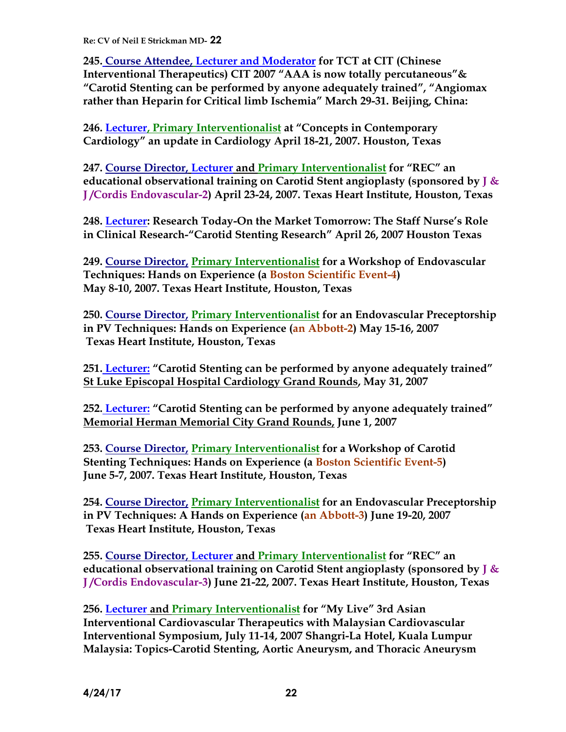**245. Course Attendee, Lecturer and Moderator for TCT at CIT (Chinese Interventional Therapeutics) CIT 2007 "AAA is now totally percutaneous"& "Carotid Stenting can be performed by anyone adequately trained", "Angiomax rather than Heparin for Critical limb Ischemia" March 29-31. Beijing, China:**

**246. Lecturer, Primary Interventionalist at "Concepts in Contemporary Cardiology" an update in Cardiology April 18-21, 2007. Houston, Texas**

**247. Course Director, Lecturer and Primary Interventionalist for "REC" an educational observational training on Carotid Stent angioplasty (sponsored by J & J /Cordis Endovascular-2) April 23-24, 2007. Texas Heart Institute, Houston, Texas**

**248. Lecturer: Research Today-On the Market Tomorrow: The Staff Nurse's Role in Clinical Research-"Carotid Stenting Research" April 26, 2007 Houston Texas**

**249. Course Director, Primary Interventionalist for a Workshop of Endovascular Techniques: Hands on Experience (a Boston Scientific Event-4) May 8-10, 2007. Texas Heart Institute, Houston, Texas**

**250. Course Director, Primary Interventionalist for an Endovascular Preceptorship in PV Techniques: Hands on Experience (an Abbott-2) May 15-16, 2007 Texas Heart Institute, Houston, Texas**

**251. Lecturer: "Carotid Stenting can be performed by anyone adequately trained" St Luke Episcopal Hospital Cardiology Grand Rounds, May 31, 2007**

**252. Lecturer: "Carotid Stenting can be performed by anyone adequately trained" Memorial Herman Memorial City Grand Rounds, June 1, 2007**

**253. Course Director, Primary Interventionalist for a Workshop of Carotid Stenting Techniques: Hands on Experience (a Boston Scientific Event-5) June 5-7, 2007. Texas Heart Institute, Houston, Texas**

**254. Course Director, Primary Interventionalist for an Endovascular Preceptorship in PV Techniques: A Hands on Experience (an Abbott-3) June 19-20, 2007 Texas Heart Institute, Houston, Texas**

**255. Course Director, Lecturer and Primary Interventionalist for "REC" an educational observational training on Carotid Stent angioplasty (sponsored by J & J /Cordis Endovascular-3) June 21-22, 2007. Texas Heart Institute, Houston, Texas**

**256. Lecturer and Primary Interventionalist for "My Live" 3rd Asian Interventional Cardiovascular Therapeutics with Malaysian Cardiovascular Interventional Symposium, July 11-14, 2007 Shangri-La Hotel, Kuala Lumpur Malaysia: Topics-Carotid Stenting, Aortic Aneurysm, and Thoracic Aneurysm**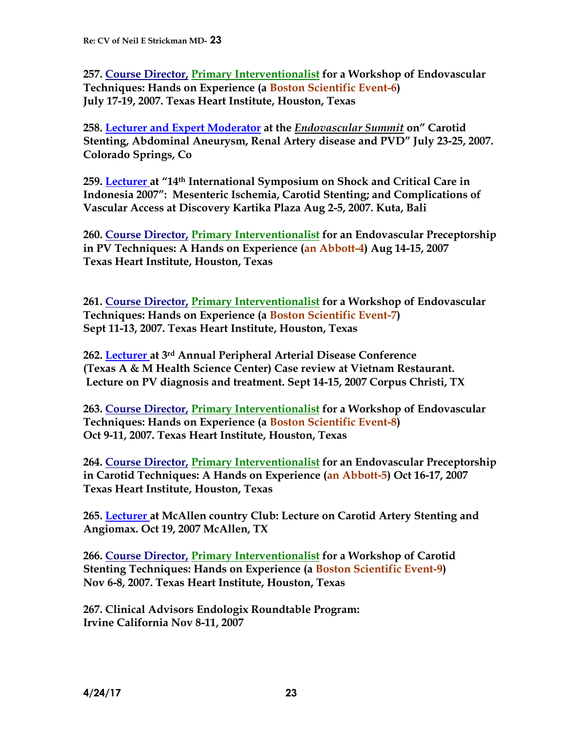**257. Course Director, Primary Interventionalist for a Workshop of Endovascular Techniques: Hands on Experience (a Boston Scientific Event-6) July 17-19, 2007. Texas Heart Institute, Houston, Texas**

**258. Lecturer and Expert Moderator at the** *Endovascular Summit* **on" Carotid Stenting, Abdominal Aneurysm, Renal Artery disease and PVD" July 23-25, 2007. Colorado Springs, Co**

**259. Lecturer at "14th International Symposium on Shock and Critical Care in Indonesia 2007": Mesenteric Ischemia, Carotid Stenting; and Complications of Vascular Access at Discovery Kartika Plaza Aug 2-5, 2007. Kuta, Bali**

**260. Course Director, Primary Interventionalist for an Endovascular Preceptorship in PV Techniques: A Hands on Experience (an Abbott-4) Aug 14-15, 2007 Texas Heart Institute, Houston, Texas**

**261. Course Director, Primary Interventionalist for a Workshop of Endovascular Techniques: Hands on Experience (a Boston Scientific Event-7) Sept 11-13, 2007. Texas Heart Institute, Houston, Texas**

**262. Lecturer at 3rd Annual Peripheral Arterial Disease Conference (Texas A & M Health Science Center) Case review at Vietnam Restaurant. Lecture on PV diagnosis and treatment. Sept 14-15, 2007 Corpus Christi, TX**

**263. Course Director, Primary Interventionalist for a Workshop of Endovascular Techniques: Hands on Experience (a Boston Scientific Event-8) Oct 9-11, 2007. Texas Heart Institute, Houston, Texas**

**264. Course Director, Primary Interventionalist for an Endovascular Preceptorship in Carotid Techniques: A Hands on Experience (an Abbott-5) Oct 16-17, 2007 Texas Heart Institute, Houston, Texas**

**265. Lecturer at McAllen country Club: Lecture on Carotid Artery Stenting and Angiomax. Oct 19, 2007 McAllen, TX**

**266. Course Director, Primary Interventionalist for a Workshop of Carotid Stenting Techniques: Hands on Experience (a Boston Scientific Event-9) Nov 6-8, 2007. Texas Heart Institute, Houston, Texas**

**267. Clinical Advisors Endologix Roundtable Program: Irvine California Nov 8-11, 2007**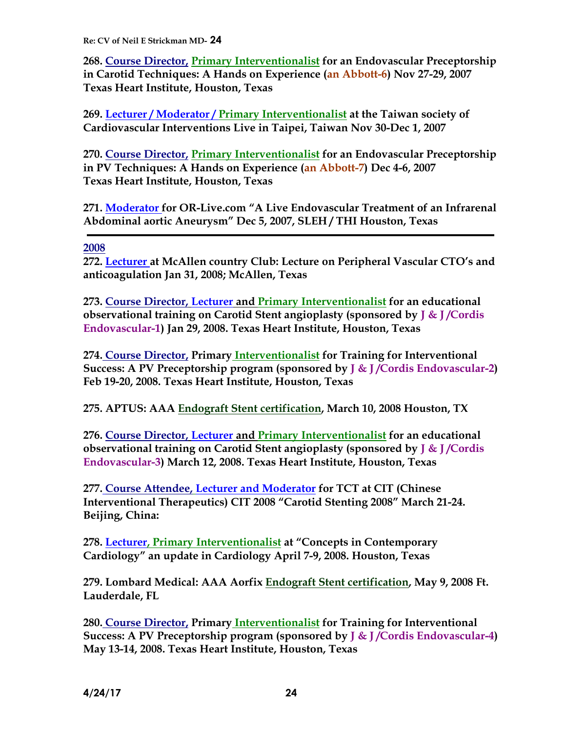**268. Course Director, Primary Interventionalist for an Endovascular Preceptorship in Carotid Techniques: A Hands on Experience (an Abbott-6) Nov 27-29, 2007 Texas Heart Institute, Houston, Texas**

**269. Lecturer / Moderator / Primary Interventionalist at the Taiwan society of Cardiovascular Interventions Live in Taipei, Taiwan Nov 30-Dec 1, 2007**

**270. Course Director, Primary Interventionalist for an Endovascular Preceptorship in PV Techniques: A Hands on Experience (an Abbott-7) Dec 4-6, 2007 Texas Heart Institute, Houston, Texas**

**271. Moderator for OR-Live.com "A Live Endovascular Treatment of an Infrarenal Abdominal aortic Aneurysm" Dec 5, 2007, SLEH / THI Houston, Texas**

#### **2008**

**272. Lecturer at McAllen country Club: Lecture on Peripheral Vascular CTO's and anticoagulation Jan 31, 2008; McAllen, Texas**

**273. Course Director, Lecturer and Primary Interventionalist for an educational observational training on Carotid Stent angioplasty (sponsored by J & J /Cordis Endovascular-1) Jan 29, 2008. Texas Heart Institute, Houston, Texas**

**274. Course Director, Primary Interventionalist for Training for Interventional Success: A PV Preceptorship program (sponsored by J & J /Cordis Endovascular-2) Feb 19-20, 2008. Texas Heart Institute, Houston, Texas**

**275. APTUS: AAA Endograft Stent certification, March 10, 2008 Houston, TX**

**276. Course Director, Lecturer and Primary Interventionalist for an educational observational training on Carotid Stent angioplasty (sponsored by J & J /Cordis Endovascular-3) March 12, 2008. Texas Heart Institute, Houston, Texas**

**277. Course Attendee, Lecturer and Moderator for TCT at CIT (Chinese Interventional Therapeutics) CIT 2008 "Carotid Stenting 2008" March 21-24. Beijing, China:**

**278. Lecturer, Primary Interventionalist at "Concepts in Contemporary Cardiology" an update in Cardiology April 7-9, 2008. Houston, Texas**

**279. Lombard Medical: AAA Aorfix Endograft Stent certification, May 9, 2008 Ft. Lauderdale, FL**

**280. Course Director, Primary Interventionalist for Training for Interventional Success: A PV Preceptorship program (sponsored by J & J /Cordis Endovascular-4) May 13-14, 2008. Texas Heart Institute, Houston, Texas**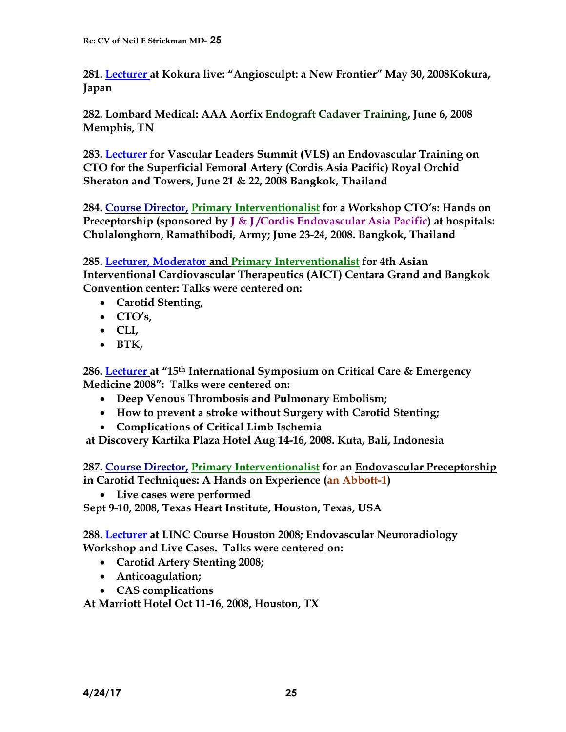**281. Lecturer at Kokura live: "Angiosculpt: a New Frontier" May 30, 2008Kokura, Japan**

**282. Lombard Medical: AAA Aorfix Endograft Cadaver Training, June 6, 2008 Memphis, TN**

**283. Lecturer for Vascular Leaders Summit (VLS) an Endovascular Training on CTO for the Superficial Femoral Artery (Cordis Asia Pacific) Royal Orchid Sheraton and Towers, June 21 & 22, 2008 Bangkok, Thailand**

**284. Course Director, Primary Interventionalist for a Workshop CTO's: Hands on Preceptorship (sponsored by J & J /Cordis Endovascular Asia Pacific) at hospitals: Chulalonghorn, Ramathibodi, Army; June 23-24, 2008. Bangkok, Thailand**

**285. Lecturer, Moderator and Primary Interventionalist for 4th Asian Interventional Cardiovascular Therapeutics (AICT) Centara Grand and Bangkok Convention center: Talks were centered on:**

- **Carotid Stenting,**
- **CTO's,**
- **CLI,**
- **BTK,**

**286. Lecturer at "15th International Symposium on Critical Care & Emergency Medicine 2008": Talks were centered on:**

- **Deep Venous Thrombosis and Pulmonary Embolism;**
- **How to prevent a stroke without Surgery with Carotid Stenting;**
- **Complications of Critical Limb Ischemia**

**at Discovery Kartika Plaza Hotel Aug 14-16, 2008. Kuta, Bali, Indonesia**

**287. Course Director, Primary Interventionalist for an Endovascular Preceptorship in Carotid Techniques: A Hands on Experience (an Abbott-1)** 

**Live cases were performed**

**Sept 9-10, 2008, Texas Heart Institute, Houston, Texas, USA**

**288. Lecturer at LINC Course Houston 2008; Endovascular Neuroradiology Workshop and Live Cases. Talks were centered on:**

- **Carotid Artery Stenting 2008;**
- **Anticoagulation;**
- **CAS complications**

**At Marriott Hotel Oct 11-16, 2008, Houston, TX**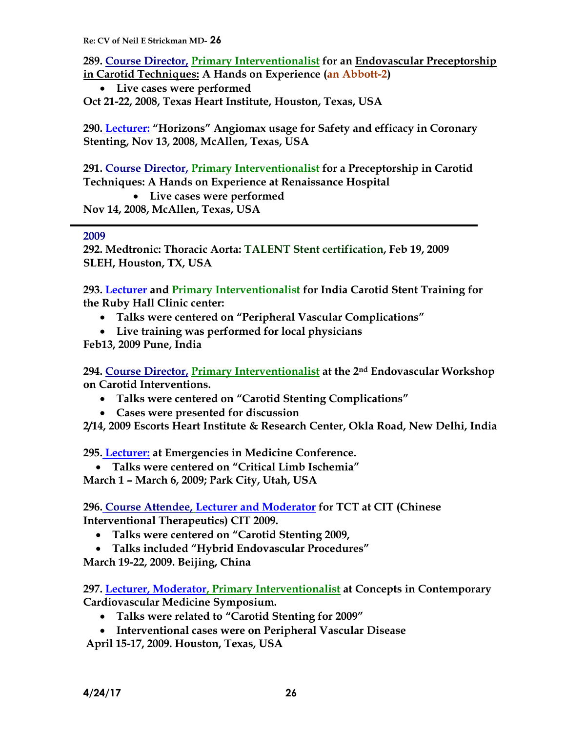**289. Course Director, Primary Interventionalist for an Endovascular Preceptorship in Carotid Techniques: A Hands on Experience (an Abbott-2)** 

 **Live cases were performed Oct 21-22, 2008, Texas Heart Institute, Houston, Texas, USA**

**290. Lecturer: "Horizons" Angiomax usage for Safety and efficacy in Coronary Stenting, Nov 13, 2008, McAllen, Texas, USA**

**291. Course Director, Primary Interventionalist for a Preceptorship in Carotid Techniques: A Hands on Experience at Renaissance Hospital**

 **Live cases were performed Nov 14, 2008, McAllen, Texas, USA**

#### **2009**

**292. Medtronic: Thoracic Aorta: TALENT Stent certification, Feb 19, 2009 SLEH, Houston, TX, USA**

**293. Lecturer and Primary Interventionalist for India Carotid Stent Training for the Ruby Hall Clinic center:**

- **Talks were centered on "Peripheral Vascular Complications"**
- **Live training was performed for local physicians**
- **Feb13, 2009 Pune, India**

**294. Course Director, Primary Interventionalist at the 2nd Endovascular Workshop on Carotid Interventions.** 

- **Talks were centered on "Carotid Stenting Complications"**
- **Cases were presented for discussion**

**2/14, 2009 Escorts Heart Institute & Research Center, Okla Road, New Delhi, India**

**295. Lecturer: at Emergencies in Medicine Conference.**

 **Talks were centered on "Critical Limb Ischemia" March 1 – March 6, 2009; Park City, Utah, USA**

**296. Course Attendee, Lecturer and Moderator for TCT at CIT (Chinese Interventional Therapeutics) CIT 2009.**

- **Talks were centered on "Carotid Stenting 2009,**
- **Talks included "Hybrid Endovascular Procedures"**

**March 19-22, 2009. Beijing, China**

**297. Lecturer, Moderator, Primary Interventionalist at Concepts in Contemporary Cardiovascular Medicine Symposium.** 

- **Talks were related to "Carotid Stenting for 2009"**
- **Interventional cases were on Peripheral Vascular Disease**

**April 15-17, 2009. Houston, Texas, USA**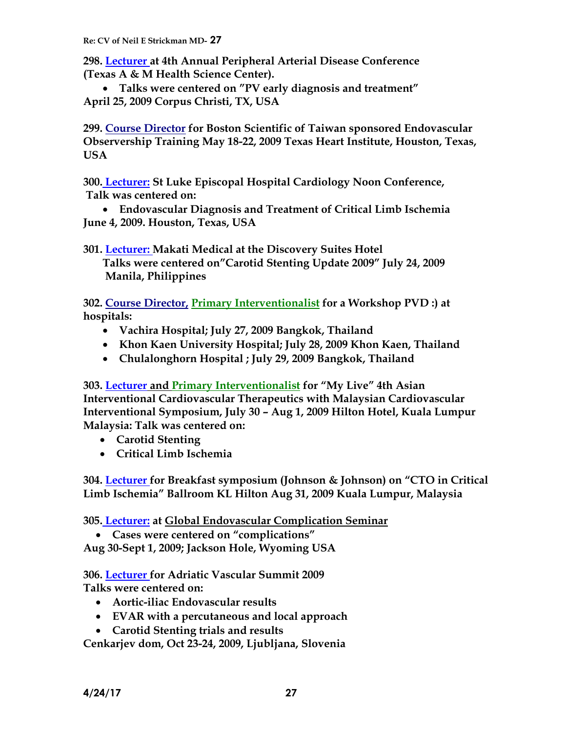**298. Lecturer at 4th Annual Peripheral Arterial Disease Conference (Texas A & M Health Science Center).**

 **Talks were centered on "PV early diagnosis and treatment" April 25, 2009 Corpus Christi, TX, USA**

**299. Course Director for Boston Scientific of Taiwan sponsored Endovascular Observership Training May 18-22, 2009 Texas Heart Institute, Houston, Texas, USA**

**300. Lecturer: St Luke Episcopal Hospital Cardiology Noon Conference, Talk was centered on:**

 **Endovascular Diagnosis and Treatment of Critical Limb Ischemia June 4, 2009. Houston, Texas, USA**

**301. Lecturer: Makati Medical at the Discovery Suites Hotel Talks were centered on"Carotid Stenting Update 2009" July 24, 2009 Manila, Philippines**

**302. Course Director, Primary Interventionalist for a Workshop PVD :) at hospitals:** 

- **Vachira Hospital; July 27, 2009 Bangkok, Thailand**
- **Khon Kaen University Hospital; July 28, 2009 Khon Kaen, Thailand**
- **Chulalonghorn Hospital ; July 29, 2009 Bangkok, Thailand**

**303. Lecturer and Primary Interventionalist for "My Live" 4th Asian Interventional Cardiovascular Therapeutics with Malaysian Cardiovascular Interventional Symposium, July 30 – Aug 1, 2009 Hilton Hotel, Kuala Lumpur Malaysia: Talk was centered on:**

- **Carotid Stenting**
- **Critical Limb Ischemia**

**304. Lecturer for Breakfast symposium (Johnson & Johnson) on "CTO in Critical Limb Ischemia" Ballroom KL Hilton Aug 31, 2009 Kuala Lumpur, Malaysia**

**305. Lecturer: at Global Endovascular Complication Seminar**

**Cases were centered on "complications"**

**Aug 30-Sept 1, 2009; Jackson Hole, Wyoming USA**

**306. Lecturer for Adriatic Vascular Summit 2009 Talks were centered on:**

- **Aortic-iliac Endovascular results**
- **EVAR with a percutaneous and local approach**
- **Carotid Stenting trials and results**

**Cenkarjev dom, Oct 23-24, 2009, Ljubljana, Slovenia**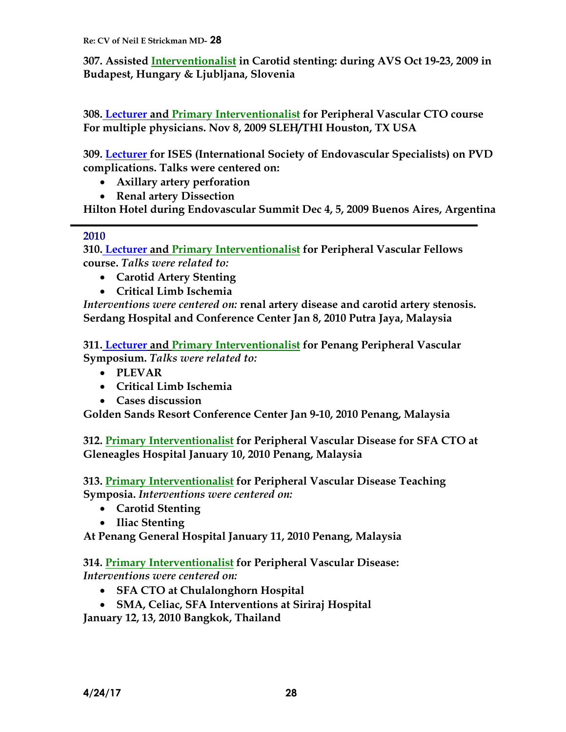**307. Assisted Interventionalist in Carotid stenting: during AVS Oct 19-23, 2009 in Budapest, Hungary & Ljubljana, Slovenia**

**308. Lecturer and Primary Interventionalist for Peripheral Vascular CTO course For multiple physicians. Nov 8, 2009 SLEH/THI Houston, TX USA**

**309. Lecturer for ISES (International Society of Endovascular Specialists) on PVD complications. Talks were centered on:**

- **Axillary artery perforation**
- **Renal artery Dissection**

**Hilton Hotel during Endovascular Summit Dec 4, 5, 2009 Buenos Aires, Argentina** 

#### **2010**

**310. Lecturer and Primary Interventionalist for Peripheral Vascular Fellows course.** *Talks were related to:*

- **Carotid Artery Stenting**
- **Critical Limb Ischemia**

*Interventions were centered on:* **renal artery disease and carotid artery stenosis. Serdang Hospital and Conference Center Jan 8, 2010 Putra Jaya, Malaysia** 

**311. Lecturer and Primary Interventionalist for Penang Peripheral Vascular Symposium.** *Talks were related to:*

- **PLEVAR**
- **Critical Limb Ischemia**
- **Cases discussion**

**Golden Sands Resort Conference Center Jan 9-10, 2010 Penang, Malaysia** 

**312. Primary Interventionalist for Peripheral Vascular Disease for SFA CTO at Gleneagles Hospital January 10, 2010 Penang, Malaysia** 

**313. Primary Interventionalist for Peripheral Vascular Disease Teaching Symposia.** *Interventions were centered on:*

- **Carotid Stenting**
- **Iliac Stenting**

**At Penang General Hospital January 11, 2010 Penang, Malaysia**

**314. Primary Interventionalist for Peripheral Vascular Disease:**  *Interventions were centered on:*

- **SFA CTO at Chulalonghorn Hospital**
- **SMA, Celiac, SFA Interventions at Siriraj Hospital**

**January 12, 13, 2010 Bangkok, Thailand**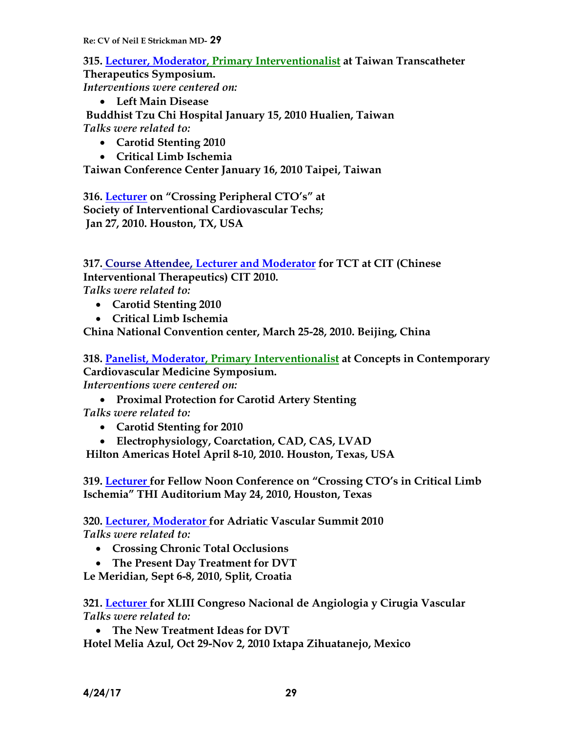**315. Lecturer, Moderator, Primary Interventionalist at Taiwan Transcatheter Therapeutics Symposium.**  *Interventions were centered on:* **Left Main Disease**

**Buddhist Tzu Chi Hospital January 15, 2010 Hualien, Taiwan** *Talks were related to:*

- **Carotid Stenting 2010**
- **Critical Limb Ischemia**

**Taiwan Conference Center January 16, 2010 Taipei, Taiwan**

**316. Lecturer on "Crossing Peripheral CTO's" at Society of Interventional Cardiovascular Techs; Jan 27, 2010. Houston, TX, USA**

**317. Course Attendee, Lecturer and Moderator for TCT at CIT (Chinese Interventional Therapeutics) CIT 2010.** *Talks were related to:*

- **Carotid Stenting 2010**
- **Critical Limb Ischemia**

**China National Convention center, March 25-28, 2010. Beijing, China**

**318. Panelist, Moderator, Primary Interventionalist at Concepts in Contemporary Cardiovascular Medicine Symposium.** 

*Interventions were centered on:*

**Proximal Protection for Carotid Artery Stenting**

*Talks were related to:*

- **Carotid Stenting for 2010**
- **Electrophysiology, Coarctation, CAD, CAS, LVAD**

**Hilton Americas Hotel April 8-10, 2010. Houston, Texas, USA**

**319. Lecturer for Fellow Noon Conference on "Crossing CTO's in Critical Limb Ischemia" THI Auditorium May 24, 2010, Houston, Texas**

**320. Lecturer, Moderator for Adriatic Vascular Summit 2010** *Talks were related to:*

- **Crossing Chronic Total Occlusions**
- **The Present Day Treatment for DVT**

**Le Meridian, Sept 6-8, 2010, Split, Croatia** 

**321. Lecturer for XLIII Congreso Nacional de Angiologia y Cirugia Vascular** *Talks were related to:*

**The New Treatment Ideas for DVT**

**Hotel Melia Azul, Oct 29-Nov 2, 2010 Ixtapa Zihuatanejo, Mexico**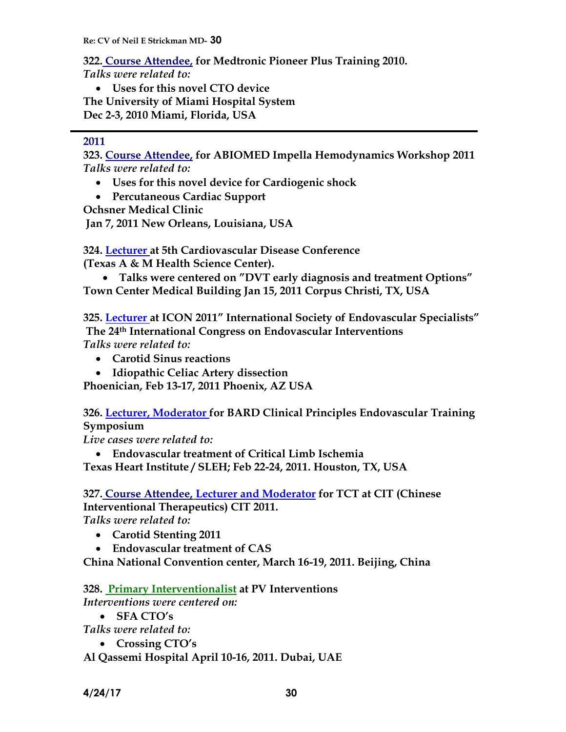**322. Course Attendee, for Medtronic Pioneer Plus Training 2010.**

*Talks were related to:*

 **Uses for this novel CTO device The University of Miami Hospital System Dec 2-3, 2010 Miami, Florida, USA**

#### **2011**

**323. Course Attendee, for ABIOMED Impella Hemodynamics Workshop 2011** *Talks were related to:*

- **Uses for this novel device for Cardiogenic shock**
- **Percutaneous Cardiac Support**

**Ochsner Medical Clinic**

**Jan 7, 2011 New Orleans, Louisiana, USA**

**324. Lecturer at 5th Cardiovascular Disease Conference**

**(Texas A & M Health Science Center).**

 **Talks were centered on "DVT early diagnosis and treatment Options" Town Center Medical Building Jan 15, 2011 Corpus Christi, TX, USA**

**325. Lecturer at ICON 2011" International Society of Endovascular Specialists" The 24th International Congress on Endovascular Interventions** *Talks were related to:*

- **Carotid Sinus reactions**
- **Idiopathic Celiac Artery dissection**

**Phoenician, Feb 13-17, 2011 Phoenix, AZ USA**

#### **326. Lecturer, Moderator for BARD Clinical Principles Endovascular Training Symposium**

*Live cases were related to:*

 **Endovascular treatment of Critical Limb Ischemia Texas Heart Institute / SLEH; Feb 22-24, 2011. Houston, TX, USA**

**327. Course Attendee, Lecturer and Moderator for TCT at CIT (Chinese Interventional Therapeutics) CIT 2011.** *Talks were related to:*

- **Carotid Stenting 2011**
- **Endovascular treatment of CAS**

**China National Convention center, March 16-19, 2011. Beijing, China**

**328. Primary Interventionalist at PV Interventions**

*Interventions were centered on:*

**SFA CTO's**

*Talks were related to:*

**Crossing CTO's**

**Al Qassemi Hospital April 10-16, 2011. Dubai, UAE**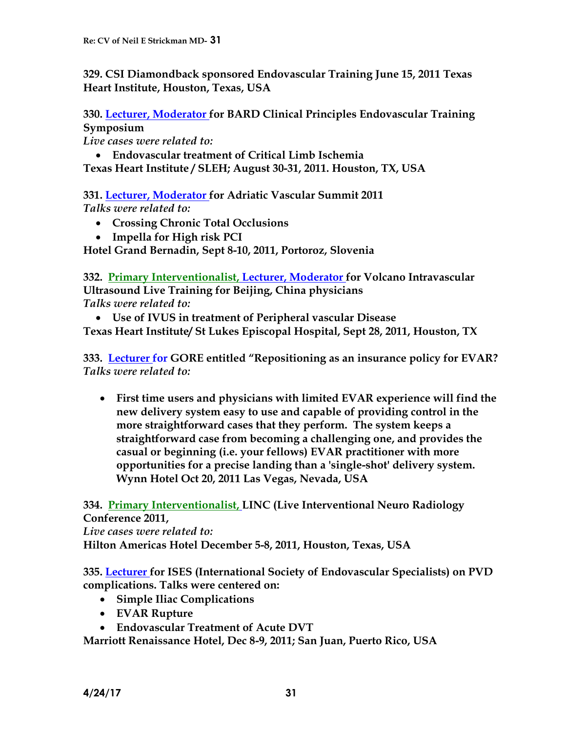**329. CSI Diamondback sponsored Endovascular Training June 15, 2011 Texas Heart Institute, Houston, Texas, USA**

**330. Lecturer, Moderator for BARD Clinical Principles Endovascular Training Symposium**

*Live cases were related to:*

 **Endovascular treatment of Critical Limb Ischemia Texas Heart Institute / SLEH; August 30-31, 2011. Houston, TX, USA**

**331. Lecturer, Moderator for Adriatic Vascular Summit 2011** *Talks were related to:*

- **Crossing Chronic Total Occlusions**
- **Impella for High risk PCI**

**Hotel Grand Bernadin, Sept 8-10, 2011, Portoroz, Slovenia** 

**332. Primary Interventionalist, Lecturer, Moderator for Volcano Intravascular Ultrasound Live Training for Beijing, China physicians** *Talks were related to:*

 **Use of IVUS in treatment of Peripheral vascular Disease Texas Heart Institute/ St Lukes Episcopal Hospital, Sept 28, 2011, Houston, TX**

**333. Lecturer for GORE entitled "Repositioning as an insurance policy for EVAR?** *Talks were related to:*

 **First time users and physicians with limited EVAR experience will find the new delivery system easy to use and capable of providing control in the more straightforward cases that they perform. The system keeps a straightforward case from becoming a challenging one, and provides the casual or beginning (i.e. your fellows) EVAR practitioner with more opportunities for a precise landing than a 'single-shot' delivery system. Wynn Hotel Oct 20, 2011 Las Vegas, Nevada, USA**

**334. Primary Interventionalist, LINC (Live Interventional Neuro Radiology Conference 2011,**

*Live cases were related to:* **Hilton Americas Hotel December 5-8, 2011, Houston, Texas, USA**

**335. Lecturer for ISES (International Society of Endovascular Specialists) on PVD complications. Talks were centered on:**

- **Simple Iliac Complications**
- **EVAR Rupture**
- **Endovascular Treatment of Acute DVT**

**Marriott Renaissance Hotel, Dec 8-9, 2011; San Juan, Puerto Rico, USA**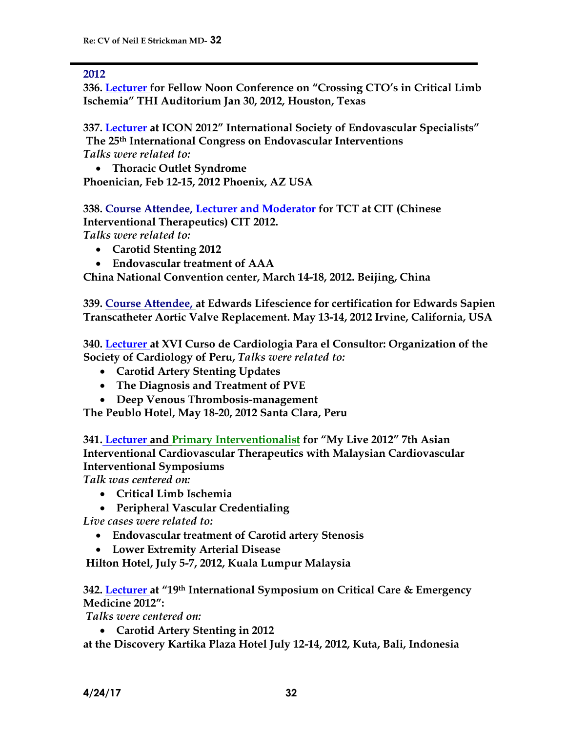#### **2012**

**336. Lecturer for Fellow Noon Conference on "Crossing CTO's in Critical Limb Ischemia" THI Auditorium Jan 30, 2012, Houston, Texas**

**337. Lecturer at ICON 2012" International Society of Endovascular Specialists" The 25th International Congress on Endovascular Interventions** *Talks were related to:*

 **Thoracic Outlet Syndrome Phoenician, Feb 12-15, 2012 Phoenix, AZ USA**

**338. Course Attendee, Lecturer and Moderator for TCT at CIT (Chinese Interventional Therapeutics) CIT 2012.** *Talks were related to:*

**Carotid Stenting 2012**

**Endovascular treatment of AAA**

**China National Convention center, March 14-18, 2012. Beijing, China**

**339. Course Attendee, at Edwards Lifescience for certification for Edwards Sapien Transcatheter Aortic Valve Replacement. May 13-14, 2012 Irvine, California, USA**

**340. Lecturer at XVI Curso de Cardiologia Para el Consultor: Organization of the Society of Cardiology of Peru,** *Talks were related to:*

- **Carotid Artery Stenting Updates**
- **The Diagnosis and Treatment of PVE**
- **Deep Venous Thrombosis-management**

**The Peublo Hotel, May 18-20, 2012 Santa Clara, Peru**

**341. Lecturer and Primary Interventionalist for "My Live 2012" 7th Asian Interventional Cardiovascular Therapeutics with Malaysian Cardiovascular Interventional Symposiums**

*Talk was centered on:*

- **Critical Limb Ischemia**
- **Peripheral Vascular Credentialing**

*Live cases were related to:*

- **Endovascular treatment of Carotid artery Stenosis**
- **Lower Extremity Arterial Disease**

**Hilton Hotel, July 5-7, 2012, Kuala Lumpur Malaysia**

**342. Lecturer at "19th International Symposium on Critical Care & Emergency Medicine 2012":** 

*Talks were centered on:*

**Carotid Artery Stenting in 2012**

**at the Discovery Kartika Plaza Hotel July 12-14, 2012, Kuta, Bali, Indonesia**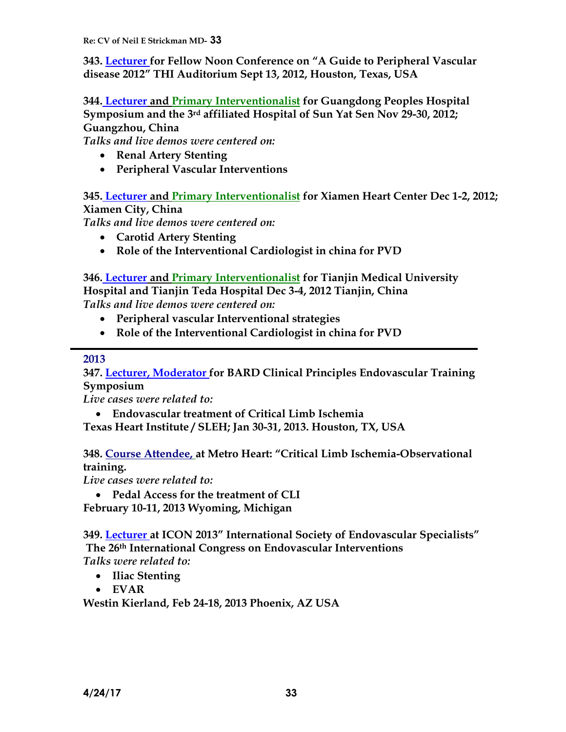**343. Lecturer for Fellow Noon Conference on "A Guide to Peripheral Vascular disease 2012" THI Auditorium Sept 13, 2012, Houston, Texas, USA**

**344. Lecturer and Primary Interventionalist for Guangdong Peoples Hospital Symposium and the 3rd affiliated Hospital of Sun Yat Sen Nov 29-30, 2012; Guangzhou, China**

*Talks and live demos were centered on:*

- **Renal Artery Stenting**
- **Peripheral Vascular Interventions**

**345. Lecturer and Primary Interventionalist for Xiamen Heart Center Dec 1-2, 2012; Xiamen City, China**

*Talks and live demos were centered on:*

- **Carotid Artery Stenting**
- **Role of the Interventional Cardiologist in china for PVD**

**346. Lecturer and Primary Interventionalist for Tianjin Medical University Hospital and Tianjin Teda Hospital Dec 3-4, 2012 Tianjin, China** *Talks and live demos were centered on:*

- **Peripheral vascular Interventional strategies**
- **Role of the Interventional Cardiologist in china for PVD**

#### **2013**

**347. Lecturer, Moderator for BARD Clinical Principles Endovascular Training Symposium**

*Live cases were related to:*

**Endovascular treatment of Critical Limb Ischemia**

**Texas Heart Institute / SLEH; Jan 30-31, 2013. Houston, TX, USA**

## **348. Course Attendee, at Metro Heart: "Critical Limb Ischemia-Observational training.**

*Live cases were related to:*

**Pedal Access for the treatment of CLI**

**February 10-11, 2013 Wyoming, Michigan**

**349. Lecturer at ICON 2013" International Society of Endovascular Specialists" The 26th International Congress on Endovascular Interventions** *Talks were related to:*

- **Iliac Stenting**
- **EVAR**

**Westin Kierland, Feb 24-18, 2013 Phoenix, AZ USA**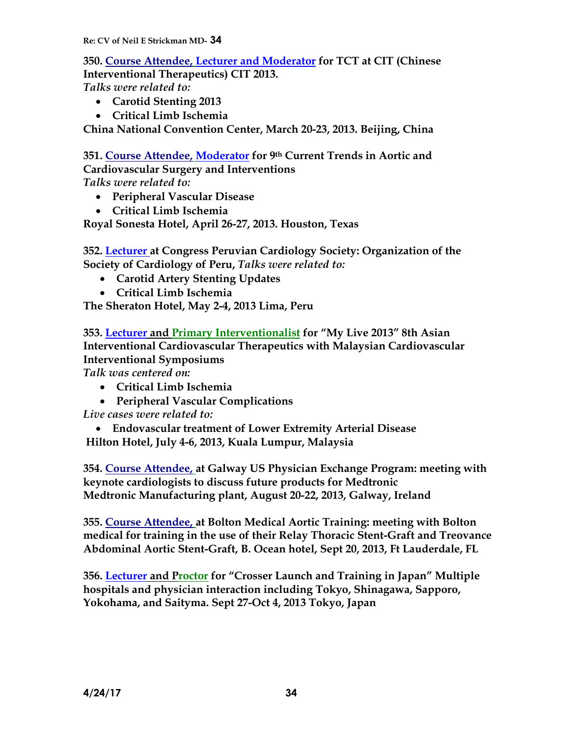**350. Course Attendee, Lecturer and Moderator for TCT at CIT (Chinese Interventional Therapeutics) CIT 2013.**

*Talks were related to:*

- **Carotid Stenting 2013**
- **Critical Limb Ischemia**

**China National Convention Center, March 20-23, 2013. Beijing, China**

**351. Course Attendee, Moderator for 9th Current Trends in Aortic and Cardiovascular Surgery and Interventions**

*Talks were related to:*

- **Peripheral Vascular Disease**
- **Critical Limb Ischemia**

**Royal Sonesta Hotel, April 26-27, 2013. Houston, Texas**

**352. Lecturer at Congress Peruvian Cardiology Society: Organization of the Society of Cardiology of Peru,** *Talks were related to:*

- **Carotid Artery Stenting Updates**
- **Critical Limb Ischemia**

**The Sheraton Hotel, May 2-4, 2013 Lima, Peru**

**353. Lecturer and Primary Interventionalist for "My Live 2013" 8th Asian Interventional Cardiovascular Therapeutics with Malaysian Cardiovascular Interventional Symposiums**

*Talk was centered on:*

- **Critical Limb Ischemia**
- **Peripheral Vascular Complications**

*Live cases were related to:*

 **Endovascular treatment of Lower Extremity Arterial Disease Hilton Hotel, July 4-6, 2013, Kuala Lumpur, Malaysia**

**354. Course Attendee, at Galway US Physician Exchange Program: meeting with keynote cardiologists to discuss future products for Medtronic Medtronic Manufacturing plant, August 20-22, 2013, Galway, Ireland**

**355. Course Attendee, at Bolton Medical Aortic Training: meeting with Bolton medical for training in the use of their Relay Thoracic Stent-Graft and Treovance Abdominal Aortic Stent-Graft, B. Ocean hotel, Sept 20, 2013, Ft Lauderdale, FL**

**356. Lecturer and Proctor for "Crosser Launch and Training in Japan" Multiple hospitals and physician interaction including Tokyo, Shinagawa, Sapporo, Yokohama, and Saityma. Sept 27-Oct 4, 2013 Tokyo, Japan**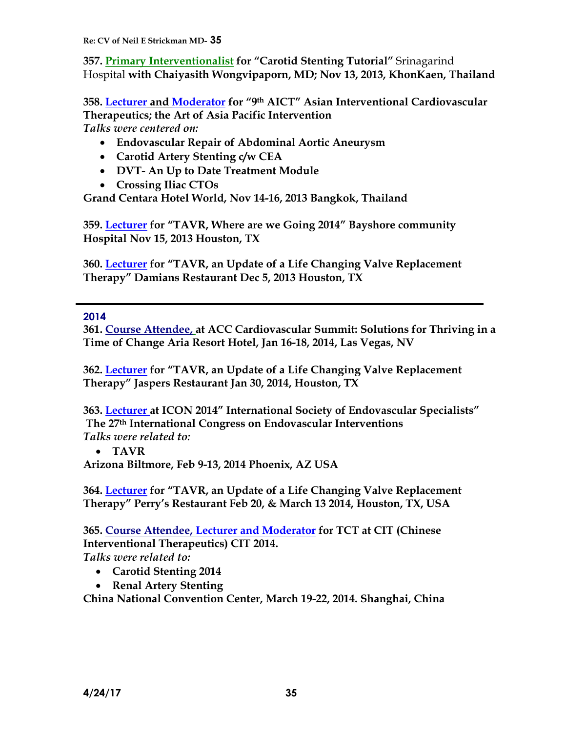**357. Primary Interventionalist for "Carotid Stenting Tutorial"** Srinagarind Hospital **with Chaiyasith Wongvipaporn, MD; Nov 13, 2013, KhonKaen, Thailand**

**358. Lecturer and Moderator for "9th AICT" Asian Interventional Cardiovascular Therapeutics; the Art of Asia Pacific Intervention** *Talks were centered on:*

- **Endovascular Repair of Abdominal Aortic Aneurysm**
- **Carotid Artery Stenting c/w CEA**
- **DVT- An Up to Date Treatment Module**
- **Crossing Iliac CTOs**

**Grand Centara Hotel World, Nov 14-16, 2013 Bangkok, Thailand**

**359. Lecturer for "TAVR, Where are we Going 2014" Bayshore community Hospital Nov 15, 2013 Houston, TX**

**360. Lecturer for "TAVR, an Update of a Life Changing Valve Replacement Therapy" Damians Restaurant Dec 5, 2013 Houston, TX**

#### **2014**

**361. Course Attendee, at ACC Cardiovascular Summit: Solutions for Thriving in a Time of Change Aria Resort Hotel, Jan 16-18, 2014, Las Vegas, NV**

**362. Lecturer for "TAVR, an Update of a Life Changing Valve Replacement Therapy" Jaspers Restaurant Jan 30, 2014, Houston, TX**

**363. Lecturer at ICON 2014" International Society of Endovascular Specialists" The 27th International Congress on Endovascular Interventions** *Talks were related to:*

**TAVR**

**Arizona Biltmore, Feb 9-13, 2014 Phoenix, AZ USA**

**364. Lecturer for "TAVR, an Update of a Life Changing Valve Replacement Therapy" Perry's Restaurant Feb 20, & March 13 2014, Houston, TX, USA**

**365. Course Attendee, Lecturer and Moderator for TCT at CIT (Chinese Interventional Therapeutics) CIT 2014.** *Talks were related to:*

- **Carotid Stenting 2014**
- **Renal Artery Stenting**

**China National Convention Center, March 19-22, 2014. Shanghai, China**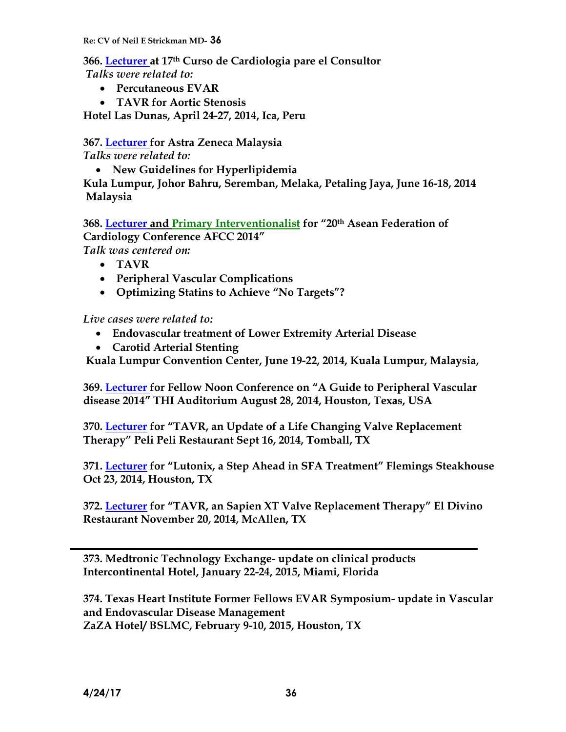**366. Lecturer at 17th Curso de Cardiologia pare el Consultor** *Talks were related to:*

- **Percutaneous EVAR**
- **TAVR for Aortic Stenosis**

**Hotel Las Dunas, April 24-27, 2014, Ica, Peru** 

**367. Lecturer for Astra Zeneca Malaysia**

*Talks were related to:*

**New Guidelines for Hyperlipidemia** 

**Kula Lumpur, Johor Bahru, Seremban, Melaka, Petaling Jaya, June 16-18, 2014 Malaysia** 

**368. Lecturer and Primary Interventionalist for "20th Asean Federation of Cardiology Conference AFCC 2014"** *Talk was centered on:*

- **TAVR**
- **Peripheral Vascular Complications**
- **Optimizing Statins to Achieve "No Targets"?**

*Live cases were related to:*

- **Endovascular treatment of Lower Extremity Arterial Disease**
- **Carotid Arterial Stenting**

**Kuala Lumpur Convention Center, June 19-22, 2014, Kuala Lumpur, Malaysia,**

**369. Lecturer for Fellow Noon Conference on "A Guide to Peripheral Vascular disease 2014" THI Auditorium August 28, 2014, Houston, Texas, USA**

**370. Lecturer for "TAVR, an Update of a Life Changing Valve Replacement Therapy" Peli Peli Restaurant Sept 16, 2014, Tomball, TX**

**371. Lecturer for "Lutonix, a Step Ahead in SFA Treatment" Flemings Steakhouse Oct 23, 2014, Houston, TX**

**372. Lecturer for "TAVR, an Sapien XT Valve Replacement Therapy" El Divino Restaurant November 20, 2014, McAllen, TX**

**373. Medtronic Technology Exchange- update on clinical products Intercontinental Hotel, January 22-24, 2015, Miami, Florida**

**374. Texas Heart Institute Former Fellows EVAR Symposium- update in Vascular and Endovascular Disease Management ZaZA Hotel/ BSLMC, February 9-10, 2015, Houston, TX**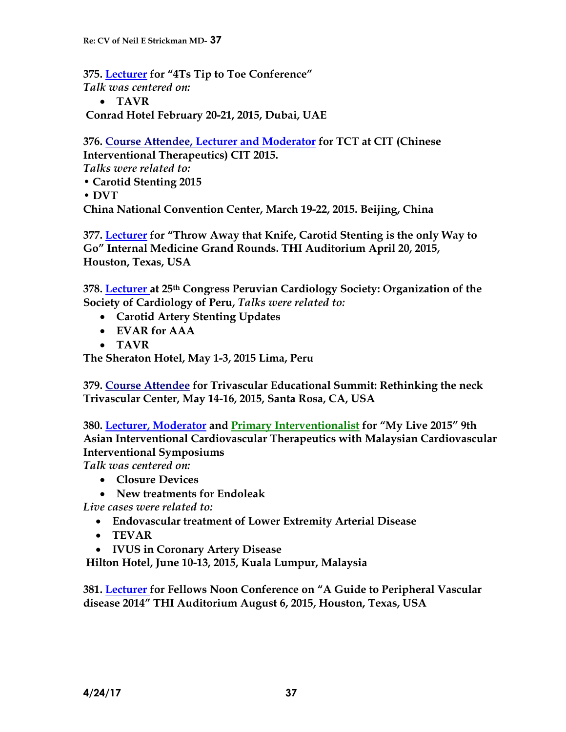**375. Lecturer for "4Ts Tip to Toe Conference"** *Talk was centered on:* **TAVR**

**Conrad Hotel February 20-21, 2015, Dubai, UAE**

**376. Course Attendee, Lecturer and Moderator for TCT at CIT (Chinese Interventional Therapeutics) CIT 2015.**  *Talks were related to:*  • **Carotid Stenting 2015** 

• **DVT** 

**China National Convention Center, March 19-22, 2015. Beijing, China**

**377. Lecturer for "Throw Away that Knife, Carotid Stenting is the only Way to Go" Internal Medicine Grand Rounds. THI Auditorium April 20, 2015, Houston, Texas, USA**

**378. Lecturer at 25th Congress Peruvian Cardiology Society: Organization of the Society of Cardiology of Peru,** *Talks were related to:*

- **Carotid Artery Stenting Updates**
- **EVAR for AAA**
- **TAVR**

**The Sheraton Hotel, May 1-3, 2015 Lima, Peru**

**379. Course Attendee for Trivascular Educational Summit: Rethinking the neck Trivascular Center, May 14-16, 2015, Santa Rosa, CA, USA**

**380. Lecturer, Moderator and Primary Interventionalist for "My Live 2015" 9th Asian Interventional Cardiovascular Therapeutics with Malaysian Cardiovascular Interventional Symposiums**

*Talk was centered on:*

- **Closure Devices**
- **New treatments for Endoleak**

*Live cases were related to:*

- **Endovascular treatment of Lower Extremity Arterial Disease**
- **TEVAR**
- **IVUS in Coronary Artery Disease**

**Hilton Hotel, June 10-13, 2015, Kuala Lumpur, Malaysia**

**381. Lecturer for Fellows Noon Conference on "A Guide to Peripheral Vascular disease 2014" THI Auditorium August 6, 2015, Houston, Texas, USA**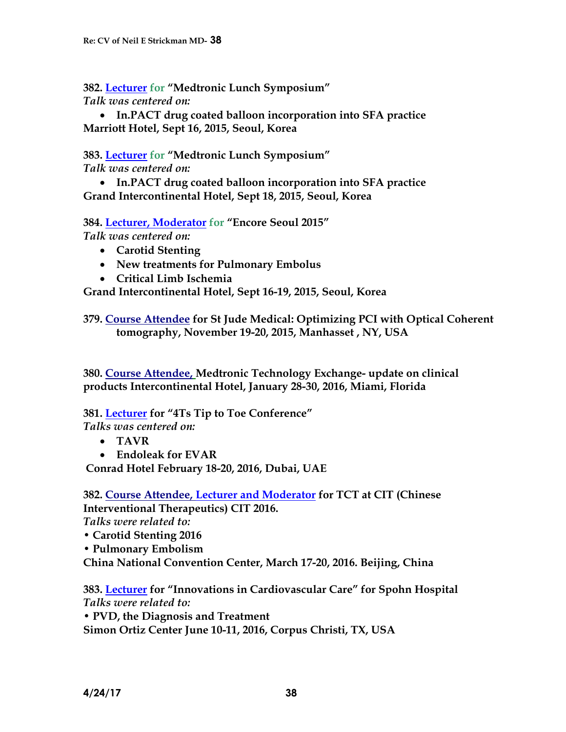**382. Lecturer for "Medtronic Lunch Symposium"**  *Talk was centered on:*

 **In.PACT drug coated balloon incorporation into SFA practice Marriott Hotel, Sept 16, 2015, Seoul, Korea**

**383. Lecturer for "Medtronic Lunch Symposium"**  *Talk was centered on:*

 **In.PACT drug coated balloon incorporation into SFA practice Grand Intercontinental Hotel, Sept 18, 2015, Seoul, Korea**

**384. Lecturer, Moderator for "Encore Seoul 2015"**  *Talk was centered on:*

- **Carotid Stenting**
- **New treatments for Pulmonary Embolus**
- **Critical Limb Ischemia**

**Grand Intercontinental Hotel, Sept 16-19, 2015, Seoul, Korea**

**379. Course Attendee for St Jude Medical: Optimizing PCI with Optical Coherent tomography, November 19-20, 2015, Manhasset , NY, USA**

**380. Course Attendee, Medtronic Technology Exchange- update on clinical products Intercontinental Hotel, January 28-30, 2016, Miami, Florida**

**381. Lecturer for "4Ts Tip to Toe Conference"**

*Talks was centered on:*

- **TAVR**
- **Endoleak for EVAR**

**Conrad Hotel February 18-20, 2016, Dubai, UAE**

**382. Course Attendee, Lecturer and Moderator for TCT at CIT (Chinese Interventional Therapeutics) CIT 2016.**  *Talks were related to:* 

- **Carotid Stenting 2016**
- **Pulmonary Embolism**

**China National Convention Center, March 17-20, 2016. Beijing, China**

**383. Lecturer for "Innovations in Cardiovascular Care" for Spohn Hospital** *Talks were related to:* 

• **PVD, the Diagnosis and Treatment**

**Simon Ortiz Center June 10-11, 2016, Corpus Christi, TX, USA**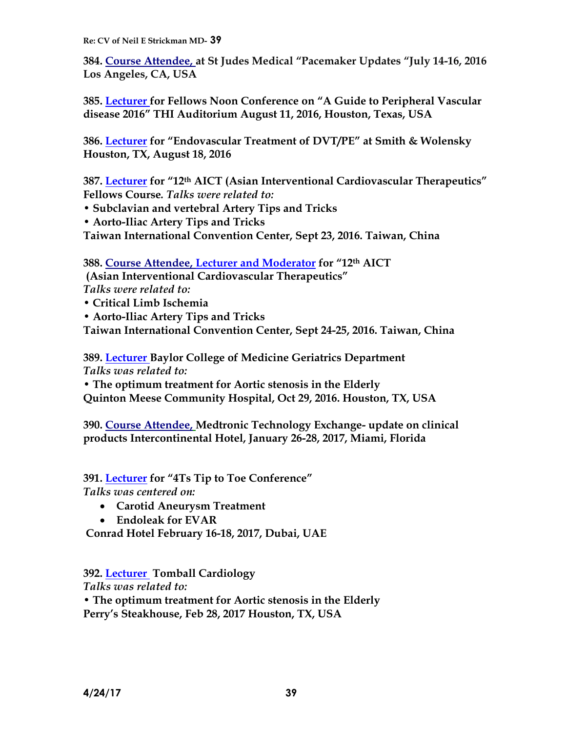**384. Course Attendee, at St Judes Medical "Pacemaker Updates "July 14-16, 2016 Los Angeles, CA, USA**

**385. Lecturer for Fellows Noon Conference on "A Guide to Peripheral Vascular disease 2016" THI Auditorium August 11, 2016, Houston, Texas, USA**

**386. Lecturer for "Endovascular Treatment of DVT/PE" at Smith & Wolensky Houston, TX, August 18, 2016**

**387. Lecturer for "12th AICT (Asian Interventional Cardiovascular Therapeutics" Fellows Course***. Talks were related to:* 

• **Subclavian and vertebral Artery Tips and Tricks**

• **Aorto-Iliac Artery Tips and Tricks**

**Taiwan International Convention Center, Sept 23, 2016. Taiwan, China**

**388. Course Attendee, Lecturer and Moderator for "12th AICT**

**(Asian Interventional Cardiovascular Therapeutics"**  *Talks were related to:* 

• **Critical Limb Ischemia**

• **Aorto-Iliac Artery Tips and Tricks**

**Taiwan International Convention Center, Sept 24-25, 2016. Taiwan, China**

**389. Lecturer Baylor College of Medicine Geriatrics Department**  *Talks was related to:* 

• **The optimum treatment for Aortic stenosis in the Elderly Quinton Meese Community Hospital, Oct 29, 2016. Houston, TX, USA**

**390. Course Attendee, Medtronic Technology Exchange- update on clinical products Intercontinental Hotel, January 26-28, 2017, Miami, Florida**

**391. Lecturer for "4Ts Tip to Toe Conference"** *Talks was centered on:*

- **Carotid Aneurysm Treatment**
- **Endoleak for EVAR**

**Conrad Hotel February 16-18, 2017, Dubai, UAE**

**392. Lecturer Tomball Cardiology** 

*Talks was related to:* 

• **The optimum treatment for Aortic stenosis in the Elderly Perry's Steakhouse, Feb 28, 2017 Houston, TX, USA**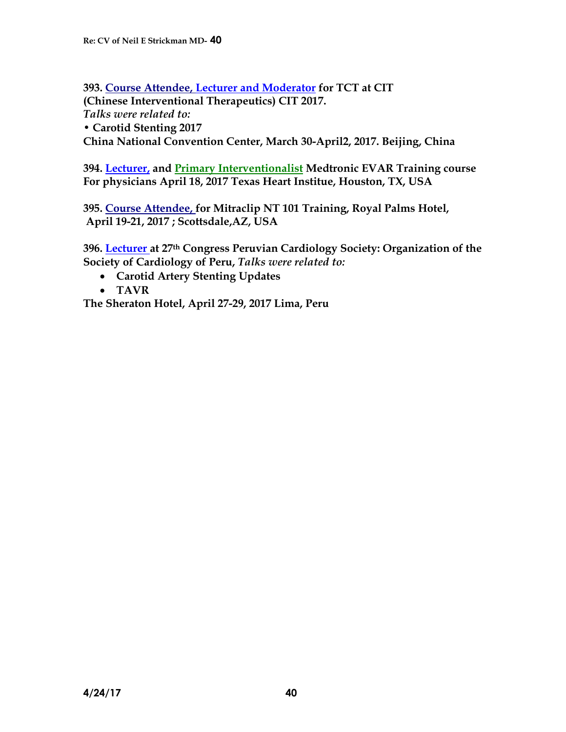**393. Course Attendee, Lecturer and Moderator for TCT at CIT (Chinese Interventional Therapeutics) CIT 2017.**  *Talks were related to:*  • **Carotid Stenting 2017 China National Convention Center, March 30-April2, 2017. Beijing, China**

**394. Lecturer, and Primary Interventionalist Medtronic EVAR Training course For physicians April 18, 2017 Texas Heart Institue, Houston, TX, USA**

**395. Course Attendee, for Mitraclip NT 101 Training, Royal Palms Hotel, April 19-21, 2017 ; Scottsdale,AZ, USA**

**396. Lecturer at 27th Congress Peruvian Cardiology Society: Organization of the Society of Cardiology of Peru,** *Talks were related to:*

- **Carotid Artery Stenting Updates**
- **TAVR**

**The Sheraton Hotel, April 27-29, 2017 Lima, Peru**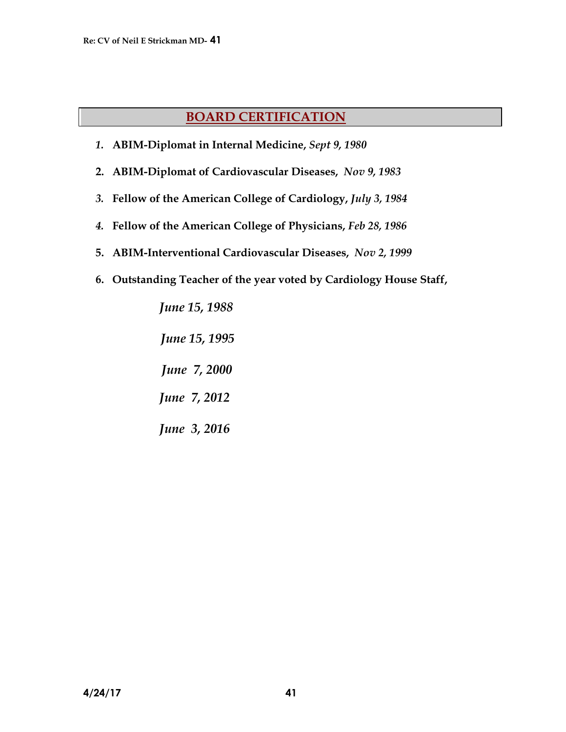# **BOARD CERTIFICATION**

- *1.* **ABIM-Diplomat in Internal Medicine,** *Sept 9, 1980*
- **2. ABIM-Diplomat of Cardiovascular Diseases,** *Nov 9, 1983*
- *3.* **Fellow of the American College of Cardiology,** *July 3, 1984*
- *4.* **Fellow of the American College of Physicians,** *Feb 28, 1986*
- **5. ABIM-Interventional Cardiovascular Diseases,** *Nov 2, 1999*
- **6. Outstanding Teacher of the year voted by Cardiology House Staff,**

 *June 15, 1988 June 15, 1995 June 7, 2000 June 7, 2012 June 3, 2016*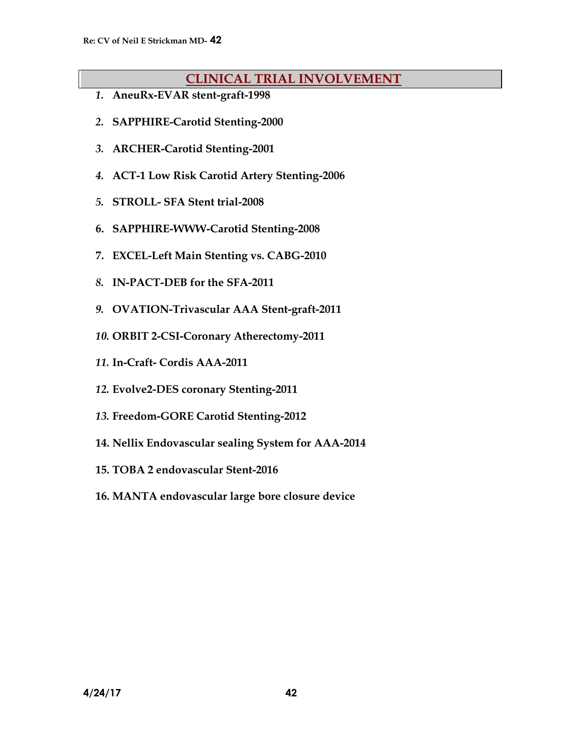# **CLINICAL TRIAL INVOLVEMENT**

- *1.* **AneuRx-EVAR stent-graft-1998**
- *2.* **SAPPHIRE-Carotid Stenting-2000**
- *3.* **ARCHER-Carotid Stenting-2001**
- *4.* **ACT-1 Low Risk Carotid Artery Stenting-2006**
- *5.* **STROLL- SFA Stent trial-2008**
- **6. SAPPHIRE-WWW-Carotid Stenting-2008**
- **7. EXCEL-Left Main Stenting vs. CABG-2010**
- *8.* **IN-PACT-DEB for the SFA-2011**
- *9.* **OVATION-Trivascular AAA Stent-graft-2011**
- *10.* **ORBIT 2-CSI-Coronary Atherectomy-2011**
- *11.* **In-Craft- Cordis AAA-2011**
- *12.* **Evolve2-DES coronary Stenting-2011**
- *13.* **Freedom-GORE Carotid Stenting-2012**
- **14. Nellix Endovascular sealing System for AAA-2014**
- **15. TOBA 2 endovascular Stent-2016**
- **16. MANTA endovascular large bore closure device**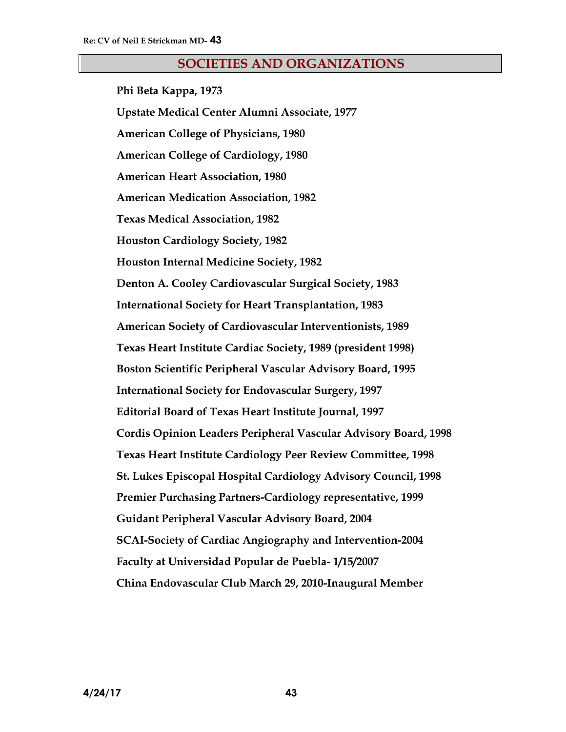#### **SOCIETIES AND ORGANIZATIONS**

**Phi Beta Kappa, 1973 Upstate Medical Center Alumni Associate, 1977 American College of Physicians, 1980 American College of Cardiology, 1980 American Heart Association, 1980 American Medication Association, 1982 Texas Medical Association, 1982 Houston Cardiology Society, 1982 Houston Internal Medicine Society, 1982 Denton A. Cooley Cardiovascular Surgical Society, 1983 International Society for Heart Transplantation, 1983 American Society of Cardiovascular Interventionists, 1989 Texas Heart Institute Cardiac Society, 1989 (president 1998) Boston Scientific Peripheral Vascular Advisory Board, 1995 International Society for Endovascular Surgery, 1997 Editorial Board of Texas Heart Institute Journal, 1997 Cordis Opinion Leaders Peripheral Vascular Advisory Board, 1998 Texas Heart Institute Cardiology Peer Review Committee, 1998 St. Lukes Episcopal Hospital Cardiology Advisory Council, 1998 Premier Purchasing Partners-Cardiology representative, 1999 Guidant Peripheral Vascular Advisory Board, 2004 SCAI-Society of Cardiac Angiography and Intervention-2004 Faculty at Universidad Popular de Puebla- 1/15/2007 China Endovascular Club March 29, 2010-Inaugural Member**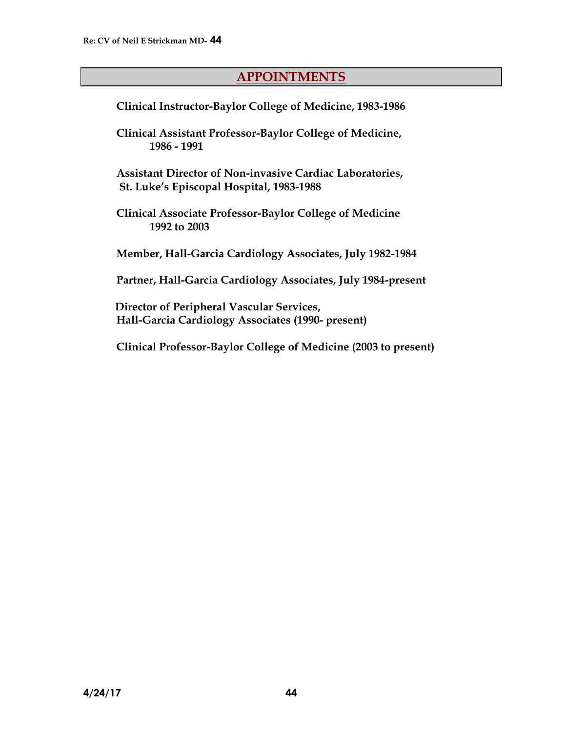# **APPOINTMENTS**

**Clinical Instructor-Baylor College of Medicine, 1983-1986**

**Clinical Assistant Professor-Baylor College of Medicine, 1986 - 1991**

**Assistant Director of Non-invasive Cardiac Laboratories, St. Luke's Episcopal Hospital, 1983-1988**

**Clinical Associate Professor-Baylor College of Medicine 1992 to 2003**

**Member, Hall-Garcia Cardiology Associates, July 1982-1984**

**Partner, Hall-Garcia Cardiology Associates, July 1984-present**

**Director of Peripheral Vascular Services, Hall-Garcia Cardiology Associates (1990- present)**

 **Clinical Professor-Baylor College of Medicine (2003 to present)**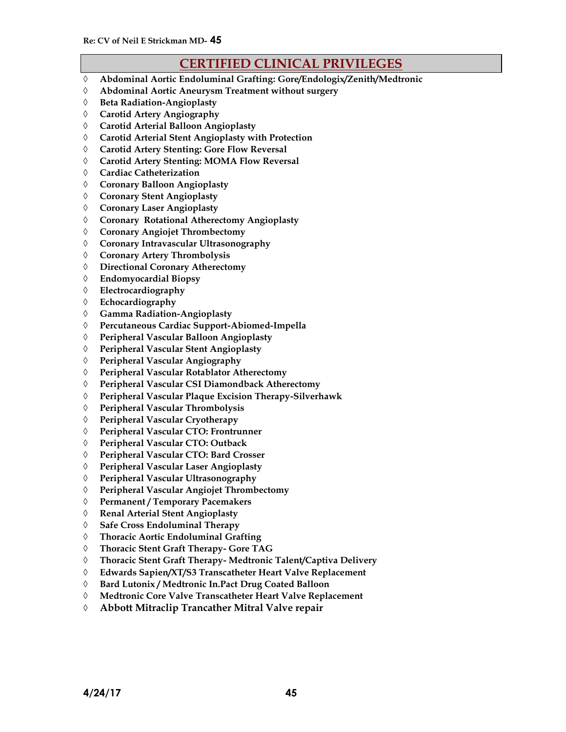# **CERTIFIED CLINICAL PRIVILEGES**

- **Abdominal Aortic Endoluminal Grafting: Gore/Endologix/Zenith/Medtronic**
- **Abdominal Aortic Aneurysm Treatment without surgery**
- **Beta Radiation-Angioplasty**
- **Carotid Artery Angiography**
- **Carotid Arterial Balloon Angioplasty**
- **Carotid Arterial Stent Angioplasty with Protection**
- **Carotid Artery Stenting: Gore Flow Reversal**
- **Carotid Artery Stenting: MOMA Flow Reversal**
- **Cardiac Catheterization**
- **Coronary Balloon Angioplasty**
- **Coronary Stent Angioplasty**
- **Coronary Laser Angioplasty**
- **Coronary Rotational Atherectomy Angioplasty**
- **Coronary Angiojet Thrombectomy**
- **Coronary Intravascular Ultrasonography**
- **Coronary Artery Thrombolysis**
- **Directional Coronary Atherectomy**
- **Endomyocardial Biopsy**
- **Electrocardiography**
- **Echocardiography**
- **Gamma Radiation-Angioplasty**
- **Percutaneous Cardiac Support-Abiomed-Impella**
- **Peripheral Vascular Balloon Angioplasty**
- **Peripheral Vascular Stent Angioplasty**
- **Peripheral Vascular Angiography**
- **Peripheral Vascular Rotablator Atherectomy**
- **Peripheral Vascular CSI Diamondback Atherectomy**
- **Peripheral Vascular Plaque Excision Therapy-Silverhawk**
- **Peripheral Vascular Thrombolysis**
- **Peripheral Vascular Cryotherapy**
- **Peripheral Vascular CTO: Frontrunner**
- **Peripheral Vascular CTO: Outback**
- **Peripheral Vascular CTO: Bard Crosser**
- **Peripheral Vascular Laser Angioplasty**
- **Peripheral Vascular Ultrasonography**
- **Peripheral Vascular Angiojet Thrombectomy**
- **Permanent / Temporary Pacemakers**
- **Renal Arterial Stent Angioplasty**
- **Safe Cross Endoluminal Therapy**
- **Thoracic Aortic Endoluminal Grafting**
- **Thoracic Stent Graft Therapy- Gore TAG**
- **Thoracic Stent Graft Therapy- Medtronic Talent/Captiva Delivery**
- **Edwards Sapien/XT/S3 Transcatheter Heart Valve Replacement**
- **Bard Lutonix / Medtronic In.Pact Drug Coated Balloon**
- **Medtronic Core Valve Transcatheter Heart Valve Replacement**
- **Abbott Mitraclip Trancather Mitral Valve repair**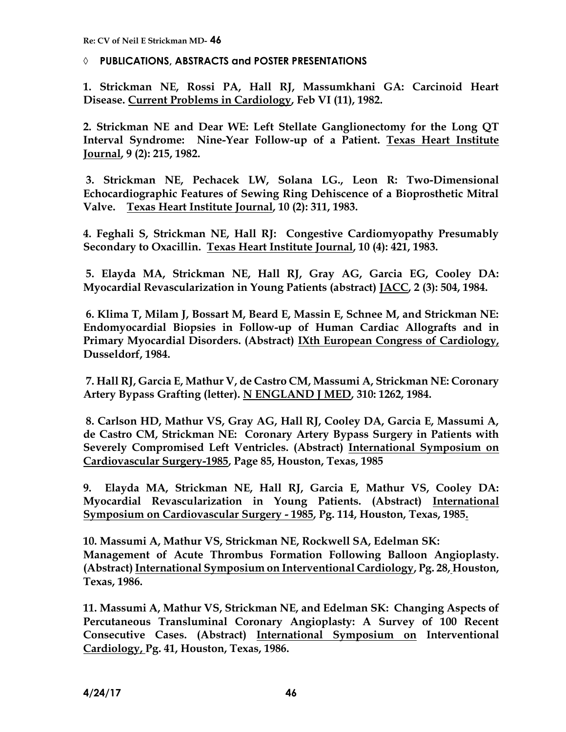**PUBLICATIONS, ABSTRACTS and POSTER PRESENTATIONS**

**1. Strickman NE, Rossi PA, Hall RJ, Massumkhani GA: Carcinoid Heart Disease. Current Problems in Cardiology, Feb VI (11), 1982.**

**2. Strickman NE and Dear WE: Left Stellate Ganglionectomy for the Long QT Interval Syndrome: Nine-Year Follow-up of a Patient. Texas Heart Institute Journal, 9 (2): 215, 1982.**

**3. Strickman NE, Pechacek LW, Solana LG., Leon R: Two-Dimensional Echocardiographic Features of Sewing Ring Dehiscence of a Bioprosthetic Mitral Valve. Texas Heart Institute Journal, 10 (2): 311, 1983.**

**4. Feghali S, Strickman NE, Hall RJ: Congestive Cardiomyopathy Presumably Secondary to Oxacillin. Texas Heart Institute Journal, 10 (4): 421, 1983.**

**5. Elayda MA, Strickman NE, Hall RJ, Gray AG, Garcia EG, Cooley DA: Myocardial Revascularization in Young Patients (abstract) JACC, 2 (3): 504, 1984.**

**6. Klima T, Milam J, Bossart M, Beard E, Massin E, Schnee M, and Strickman NE: Endomyocardial Biopsies in Follow-up of Human Cardiac Allografts and in Primary Myocardial Disorders. (Abstract) IXth European Congress of Cardiology, Dusseldorf, 1984.**

**7. Hall RJ, Garcia E, Mathur V, de Castro CM, Massumi A, Strickman NE: Coronary Artery Bypass Grafting (letter). N ENGLAND J MED, 310: 1262, 1984.**

**8. Carlson HD, Mathur VS, Gray AG, Hall RJ, Cooley DA, Garcia E, Massumi A, de Castro CM, Strickman NE: Coronary Artery Bypass Surgery in Patients with Severely Compromised Left Ventricles. (Abstract) International Symposium on Cardiovascular Surgery-1985, Page 85, Houston, Texas, 1985** 

**9. Elayda MA, Strickman NE, Hall RJ, Garcia E, Mathur VS, Cooley DA: Myocardial Revascularization in Young Patients. (Abstract) International Symposium on Cardiovascular Surgery - 1985, Pg. 114, Houston, Texas, 1985.**

**10. Massumi A, Mathur VS, Strickman NE, Rockwell SA, Edelman SK: Management of Acute Thrombus Formation Following Balloon Angioplasty. (Abstract) International Symposium on Interventional Cardiology, Pg. 28, Houston, Texas, 1986.**

**11. Massumi A, Mathur VS, Strickman NE, and Edelman SK: Changing Aspects of Percutaneous Transluminal Coronary Angioplasty: A Survey of 100 Recent Consecutive Cases. (Abstract) International Symposium on Interventional Cardiology, Pg. 41, Houston, Texas, 1986.**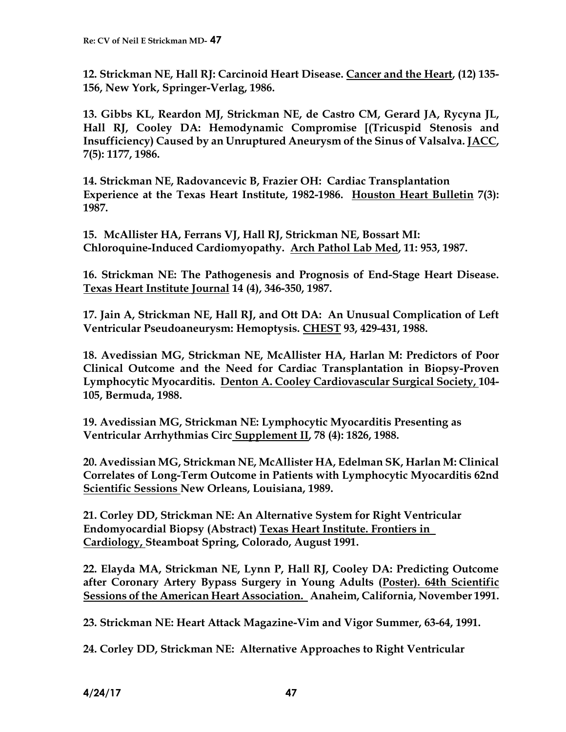**12. Strickman NE, Hall RJ: Carcinoid Heart Disease. Cancer and the Heart, (12) 135- 156, New York, Springer-Verlag, 1986.**

**13. Gibbs KL, Reardon MJ, Strickman NE, de Castro CM, Gerard JA, Rycyna JL, Hall RJ, Cooley DA: Hemodynamic Compromise [(Tricuspid Stenosis and Insufficiency) Caused by an Unruptured Aneurysm of the Sinus of Valsalva. JACC, 7(5): 1177, 1986.**

**14. Strickman NE, Radovancevic B, Frazier OH: Cardiac Transplantation Experience at the Texas Heart Institute, 1982-1986. Houston Heart Bulletin 7(3): 1987.**

**15. McAllister HA, Ferrans VJ, Hall RJ, Strickman NE, Bossart MI: Chloroquine-Induced Cardiomyopathy. Arch Pathol Lab Med, 11: 953, 1987.**

**16. Strickman NE: The Pathogenesis and Prognosis of End-Stage Heart Disease. Texas Heart Institute Journal 14 (4), 346-350, 1987.**

**17. Jain A, Strickman NE, Hall RJ, and Ott DA: An Unusual Complication of Left Ventricular Pseudoaneurysm: Hemoptysis. CHEST 93, 429-431, 1988.**

**18. Avedissian MG, Strickman NE, McAllister HA, Harlan M: Predictors of Poor Clinical Outcome and the Need for Cardiac Transplantation in Biopsy-Proven Lymphocytic Myocarditis. Denton A. Cooley Cardiovascular Surgical Society, 104- 105, Bermuda, 1988.**

**19. Avedissian MG, Strickman NE: Lymphocytic Myocarditis Presenting as Ventricular Arrhythmias Circ Supplement II, 78 (4): 1826, 1988.**

**20. Avedissian MG, Strickman NE, McAllister HA, Edelman SK, Harlan M: Clinical Correlates of Long-Term Outcome in Patients with Lymphocytic Myocarditis 62nd Scientific Sessions New Orleans, Louisiana, 1989.**

**21. Corley DD, Strickman NE: An Alternative System for Right Ventricular Endomyocardial Biopsy (Abstract) Texas Heart Institute. Frontiers in Cardiology, Steamboat Spring, Colorado, August 1991.**

**22. Elayda MA, Strickman NE, Lynn P, Hall RJ, Cooley DA: Predicting Outcome after Coronary Artery Bypass Surgery in Young Adults (Poster). 64th Scientific Sessions of the American Heart Association. Anaheim, California, November 1991.**

**23. Strickman NE: Heart Attack Magazine-Vim and Vigor Summer, 63-64, 1991.**

**24. Corley DD, Strickman NE: Alternative Approaches to Right Ventricular**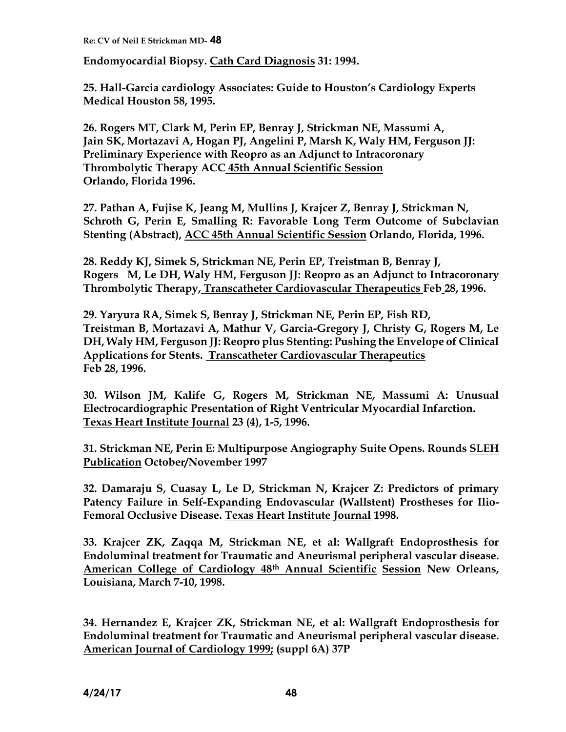**Endomyocardial Biopsy. Cath Card Diagnosis 31: 1994.**

**25. Hall-Garcia cardiology Associates: Guide to Houston's Cardiology Experts Medical Houston 58, 1995.**

**26. Rogers MT, Clark M, Perin EP, Benray J, Strickman NE, Massumi A, Jain SK, Mortazavi A, Hogan PJ, Angelini P, Marsh K, Waly HM, Ferguson JJ: Preliminary Experience with Reopro as an Adjunct to Intracoronary Thrombolytic Therapy ACC 45th Annual Scientific Session Orlando, Florida 1996.**

**27. Pathan A, Fujise K, Jeang M, Mullins J, Krajcer Z, Benray J, Strickman N, Schroth G, Perin E, Smalling R: Favorable Long Term Outcome of Subclavian Stenting (Abstract), ACC 45th Annual Scientific Session Orlando, Florida, 1996.**

**28. Reddy KJ, Simek S, Strickman NE, Perin EP, Treistman B, Benray J, Rogers M, Le DH, Waly HM, Ferguson JJ: Reopro as an Adjunct to Intracoronary Thrombolytic Therapy, Transcatheter Cardiovascular Therapeutics Feb 28, 1996.**

**29. Yaryura RA, Simek S, Benray J, Strickman NE, Perin EP, Fish RD, Treistman B, Mortazavi A, Mathur V, Garcia-Gregory J, Christy G, Rogers M, Le DH, Waly HM, Ferguson JJ: Reopro plus Stenting: Pushing the Envelope of Clinical Applications for Stents. Transcatheter Cardiovascular Therapeutics Feb 28, 1996.**

**30. Wilson JM, Kalife G, Rogers M, Strickman NE, Massumi A: Unusual Electrocardiographic Presentation of Right Ventricular Myocardial Infarction. Texas Heart Institute Journal 23 (4), 1-5, 1996.**

**31. Strickman NE, Perin E: Multipurpose Angiography Suite Opens. Rounds SLEH Publication October/November 1997**

**32. Damaraju S, Cuasay L, Le D, Strickman N, Krajcer Z: Predictors of primary Patency Failure in Self-Expanding Endovascular (Wallstent) Prostheses for Ilio-Femoral Occlusive Disease. Texas Heart Institute Journal 1998.**

**33. Krajcer ZK, Zaqqa M, Strickman NE, et al: Wallgraft Endoprosthesis for Endoluminal treatment for Traumatic and Aneurismal peripheral vascular disease. American College of Cardiology 48th Annual Scientific Session New Orleans, Louisiana, March 7-10, 1998.**

**34. Hernandez E, Krajcer ZK, Strickman NE, et al: Wallgraft Endoprosthesis for Endoluminal treatment for Traumatic and Aneurismal peripheral vascular disease. American Journal of Cardiology 1999; (suppl 6A) 37P**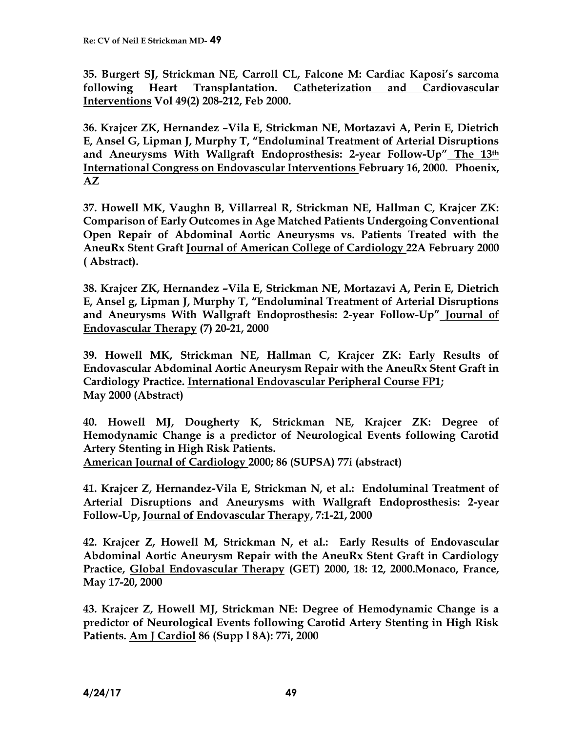**35. Burgert SJ, Strickman NE, Carroll CL, Falcone M: Cardiac Kaposi's sarcoma following Heart Transplantation. Catheterization and Cardiovascular Interventions Vol 49(2) 208-212, Feb 2000.**

**36. Krajcer ZK, Hernandez –Vila E, Strickman NE, Mortazavi A, Perin E, Dietrich E, Ansel G, Lipman J, Murphy T, "Endoluminal Treatment of Arterial Disruptions and Aneurysms With Wallgraft Endoprosthesis: 2-year Follow-Up" The 13th International Congress on Endovascular Interventions February 16, 2000. Phoenix, AZ**

**37. Howell MK, Vaughn B, Villarreal R, Strickman NE, Hallman C, Krajcer ZK: Comparison of Early Outcomes in Age Matched Patients Undergoing Conventional Open Repair of Abdominal Aortic Aneurysms vs. Patients Treated with the AneuRx Stent Graft Journal of American College of Cardiology 22A February 2000 ( Abstract).**

**38. Krajcer ZK, Hernandez –Vila E, Strickman NE, Mortazavi A, Perin E, Dietrich E, Ansel g, Lipman J, Murphy T, "Endoluminal Treatment of Arterial Disruptions and Aneurysms With Wallgraft Endoprosthesis: 2-year Follow-Up" Journal of Endovascular Therapy (7) 20-21, 2000**

**39. Howell MK, Strickman NE, Hallman C, Krajcer ZK: Early Results of Endovascular Abdominal Aortic Aneurysm Repair with the AneuRx Stent Graft in Cardiology Practice. International Endovascular Peripheral Course FP1; May 2000 (Abstract)**

**40. Howell MJ, Dougherty K, Strickman NE, Krajcer ZK: Degree of Hemodynamic Change is a predictor of Neurological Events following Carotid Artery Stenting in High Risk Patients.**

**American Journal of Cardiology 2000; 86 (SUPSA) 77i (abstract)**

**41. Krajcer Z, Hernandez-Vila E, Strickman N, et al.: Endoluminal Treatment of Arterial Disruptions and Aneurysms with Wallgraft Endoprosthesis: 2-year Follow-Up, Journal of Endovascular Therapy, 7:1-21, 2000**

**42. Krajcer Z, Howell M, Strickman N, et al.: Early Results of Endovascular Abdominal Aortic Aneurysm Repair with the AneuRx Stent Graft in Cardiology Practice, Global Endovascular Therapy (GET) 2000, 18: 12, 2000.Monaco, France, May 17-20, 2000**

**43. Krajcer Z, Howell MJ, Strickman NE: Degree of Hemodynamic Change is a predictor of Neurological Events following Carotid Artery Stenting in High Risk Patients. Am J Cardiol 86 (Supp l 8A): 77i, 2000**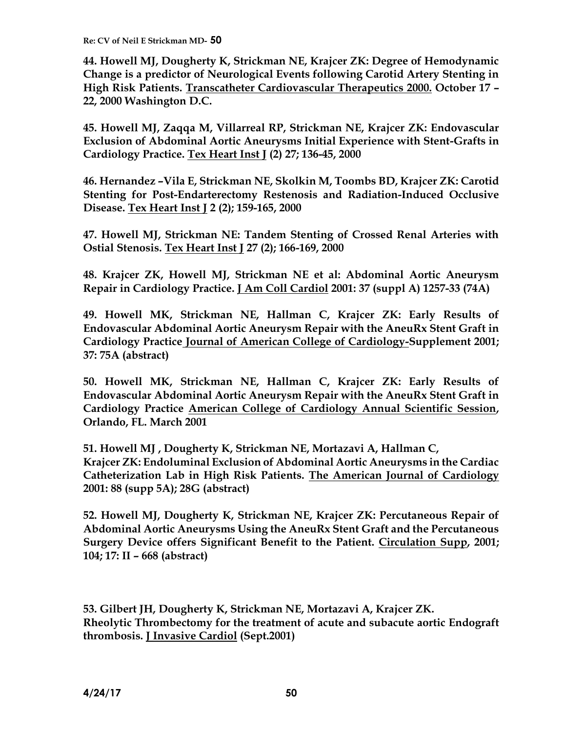**44. Howell MJ, Dougherty K, Strickman NE, Krajcer ZK: Degree of Hemodynamic Change is a predictor of Neurological Events following Carotid Artery Stenting in High Risk Patients. Transcatheter Cardiovascular Therapeutics 2000. October 17 – 22, 2000 Washington D.C.**

**45. Howell MJ, Zaqqa M, Villarreal RP, Strickman NE, Krajcer ZK: Endovascular Exclusion of Abdominal Aortic Aneurysms Initial Experience with Stent-Grafts in Cardiology Practice. Tex Heart Inst J (2) 27; 136-45, 2000**

**46. Hernandez –Vila E, Strickman NE, Skolkin M, Toombs BD, Krajcer ZK: Carotid Stenting for Post-Endarterectomy Restenosis and Radiation-Induced Occlusive Disease. Tex Heart Inst J 2 (2); 159-165, 2000**

**47. Howell MJ, Strickman NE: Tandem Stenting of Crossed Renal Arteries with Ostial Stenosis. Tex Heart Inst J 27 (2); 166-169, 2000**

**48. Krajcer ZK, Howell MJ, Strickman NE et al: Abdominal Aortic Aneurysm Repair in Cardiology Practice. J Am Coll Cardiol 2001: 37 (suppl A) 1257-33 (74A)**

**49. Howell MK, Strickman NE, Hallman C, Krajcer ZK: Early Results of Endovascular Abdominal Aortic Aneurysm Repair with the AneuRx Stent Graft in Cardiology Practice Journal of American College of Cardiology-Supplement 2001; 37: 75A (abstract)**

**50. Howell MK, Strickman NE, Hallman C, Krajcer ZK: Early Results of Endovascular Abdominal Aortic Aneurysm Repair with the AneuRx Stent Graft in Cardiology Practice American College of Cardiology Annual Scientific Session, Orlando, FL. March 2001**

**51. Howell MJ , Dougherty K, Strickman NE, Mortazavi A, Hallman C, Krajcer ZK: Endoluminal Exclusion of Abdominal Aortic Aneurysms in the Cardiac Catheterization Lab in High Risk Patients. The American Journal of Cardiology 2001: 88 (supp 5A); 28G (abstract)**

**52. Howell MJ, Dougherty K, Strickman NE, Krajcer ZK: Percutaneous Repair of Abdominal Aortic Aneurysms Using the AneuRx Stent Graft and the Percutaneous Surgery Device offers Significant Benefit to the Patient. Circulation Supp, 2001; 104; 17: II – 668 (abstract)** 

**53. Gilbert JH, Dougherty K, Strickman NE, Mortazavi A, Krajcer ZK. Rheolytic Thrombectomy for the treatment of acute and subacute aortic Endograft thrombosis. J Invasive Cardiol (Sept.2001)**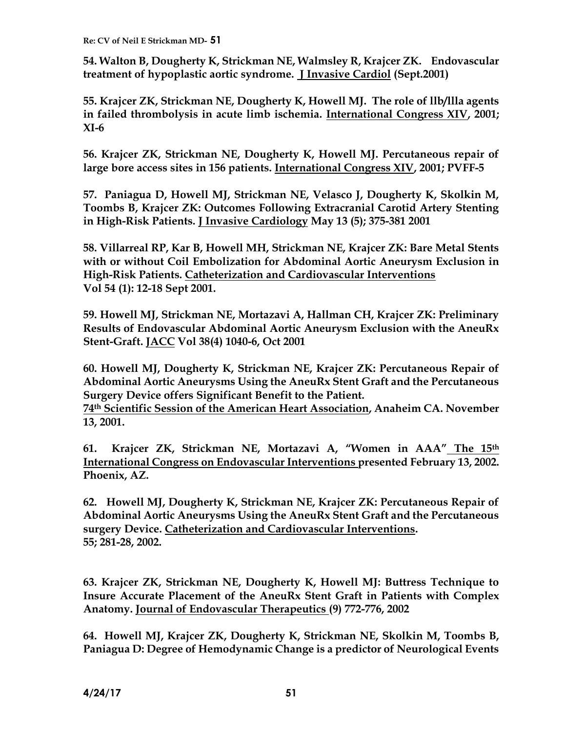**54. Walton B, Dougherty K, Strickman NE, Walmsley R, Krajcer ZK. Endovascular treatment of hypoplastic aortic syndrome. J Invasive Cardiol (Sept.2001)**

**55. Krajcer ZK, Strickman NE, Dougherty K, Howell MJ. The role of llb/llla agents in failed thrombolysis in acute limb ischemia. International Congress XIV, 2001; XI-6**

**56. Krajcer ZK, Strickman NE, Dougherty K, Howell MJ. Percutaneous repair of large bore access sites in 156 patients. International Congress XIV, 2001; PVFF-5**

**57. Paniagua D, Howell MJ, Strickman NE, Velasco J, Dougherty K, Skolkin M, Toombs B, Krajcer ZK: Outcomes Following Extracranial Carotid Artery Stenting in High-Risk Patients. J Invasive Cardiology May 13 (5); 375-381 2001**

**58. Villarreal RP, Kar B, Howell MH, Strickman NE, Krajcer ZK: Bare Metal Stents with or without Coil Embolization for Abdominal Aortic Aneurysm Exclusion in High-Risk Patients. Catheterization and Cardiovascular Interventions Vol 54 (1): 12-18 Sept 2001.**

**59. Howell MJ, Strickman NE, Mortazavi A, Hallman CH, Krajcer ZK: Preliminary Results of Endovascular Abdominal Aortic Aneurysm Exclusion with the AneuRx Stent-Graft. JACC Vol 38(4) 1040-6, Oct 2001** 

**60. Howell MJ, Dougherty K, Strickman NE, Krajcer ZK: Percutaneous Repair of Abdominal Aortic Aneurysms Using the AneuRx Stent Graft and the Percutaneous Surgery Device offers Significant Benefit to the Patient.** 

**74th Scientific Session of the American Heart Association, Anaheim CA. November 13, 2001.**

**61. Krajcer ZK, Strickman NE, Mortazavi A, "Women in AAA" The 15th International Congress on Endovascular Interventions presented February 13, 2002. Phoenix, AZ.**

**62. Howell MJ, Dougherty K, Strickman NE, Krajcer ZK: Percutaneous Repair of Abdominal Aortic Aneurysms Using the AneuRx Stent Graft and the Percutaneous surgery Device. Catheterization and Cardiovascular Interventions. 55; 281-28, 2002.**

**63. Krajcer ZK, Strickman NE, Dougherty K, Howell MJ: Buttress Technique to Insure Accurate Placement of the AneuRx Stent Graft in Patients with Complex Anatomy. Journal of Endovascular Therapeutics (9) 772-776, 2002**

**64. Howell MJ, Krajcer ZK, Dougherty K, Strickman NE, Skolkin M, Toombs B, Paniagua D: Degree of Hemodynamic Change is a predictor of Neurological Events**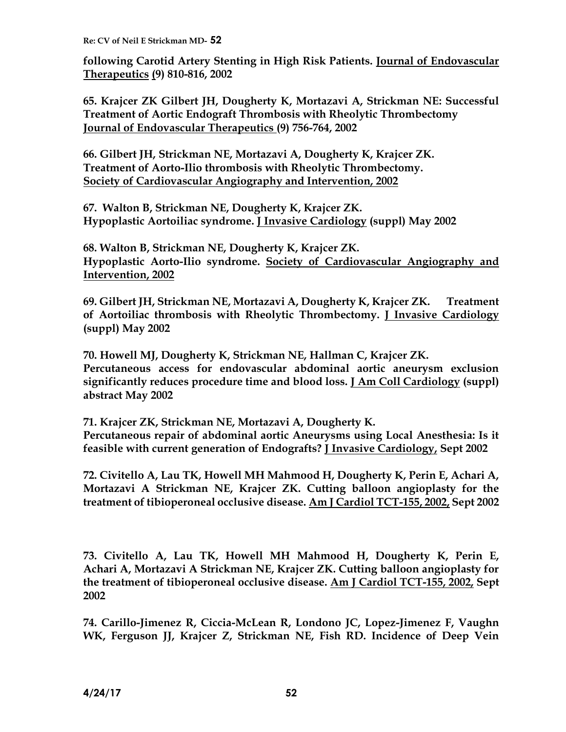**following Carotid Artery Stenting in High Risk Patients. Journal of Endovascular Therapeutics (9) 810-816, 2002**

**65. Krajcer ZK Gilbert JH, Dougherty K, Mortazavi A, Strickman NE: Successful Treatment of Aortic Endograft Thrombosis with Rheolytic Thrombectomy Journal of Endovascular Therapeutics (9) 756-764, 2002**

**66. Gilbert JH, Strickman NE, Mortazavi A, Dougherty K, Krajcer ZK. Treatment of Aorto-Ilio thrombosis with Rheolytic Thrombectomy. Society of Cardiovascular Angiography and Intervention, 2002**

**67. Walton B, Strickman NE, Dougherty K, Krajcer ZK. Hypoplastic Aortoiliac syndrome. J Invasive Cardiology (suppl) May 2002**

**68. Walton B, Strickman NE, Dougherty K, Krajcer ZK. Hypoplastic Aorto-Ilio syndrome. Society of Cardiovascular Angiography and Intervention, 2002**

**69. Gilbert JH, Strickman NE, Mortazavi A, Dougherty K, Krajcer ZK. Treatment of Aortoiliac thrombosis with Rheolytic Thrombectomy. J Invasive Cardiology (suppl) May 2002**

**70. Howell MJ, Dougherty K, Strickman NE, Hallman C, Krajcer ZK. Percutaneous access for endovascular abdominal aortic aneurysm exclusion significantly reduces procedure time and blood loss. J Am Coll Cardiology (suppl) abstract May 2002**

**71. Krajcer ZK, Strickman NE, Mortazavi A, Dougherty K. Percutaneous repair of abdominal aortic Aneurysms using Local Anesthesia: Is it feasible with current generation of Endografts? J Invasive Cardiology, Sept 2002**

**72. Civitello A, Lau TK, Howell MH Mahmood H, Dougherty K, Perin E, Achari A, Mortazavi A Strickman NE, Krajcer ZK. Cutting balloon angioplasty for the treatment of tibioperoneal occlusive disease. Am J Cardiol TCT-155, 2002, Sept 2002**

**73. Civitello A, Lau TK, Howell MH Mahmood H, Dougherty K, Perin E, Achari A, Mortazavi A Strickman NE, Krajcer ZK. Cutting balloon angioplasty for the treatment of tibioperoneal occlusive disease. Am J Cardiol TCT-155, 2002, Sept 2002**

**74. Carillo-Jimenez R, Ciccia-McLean R, Londono JC, Lopez-Jimenez F, Vaughn WK, Ferguson JJ, Krajcer Z, Strickman NE, Fish RD. Incidence of Deep Vein**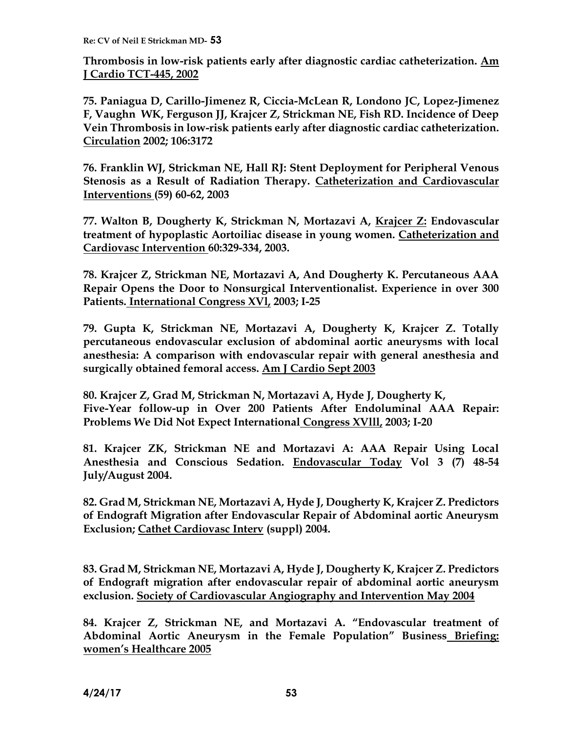**Thrombosis in low-risk patients early after diagnostic cardiac catheterization. Am J Cardio TCT-445, 2002**

**75. Paniagua D, Carillo-Jimenez R, Ciccia-McLean R, Londono JC, Lopez-Jimenez F, Vaughn WK, Ferguson JJ, Krajcer Z, Strickman NE, Fish RD. Incidence of Deep Vein Thrombosis in low-risk patients early after diagnostic cardiac catheterization. Circulation 2002; 106:3172**

**76. Franklin WJ, Strickman NE, Hall RJ: Stent Deployment for Peripheral Venous Stenosis as a Result of Radiation Therapy. Catheterization and Cardiovascular Interventions (59) 60-62, 2003**

**77. Walton B, Dougherty K, Strickman N, Mortazavi A, Krajcer Z: Endovascular treatment of hypoplastic Aortoiliac disease in young women. Catheterization and Cardiovasc Intervention 60:329-334, 2003.**

**78. Krajcer Z, Strickman NE, Mortazavi A, And Dougherty K. Percutaneous AAA Repair Opens the Door to Nonsurgical Interventionalist. Experience in over 300 Patients. International Congress XVl, 2003; I-25**

**79. Gupta K, Strickman NE, Mortazavi A, Dougherty K, Krajcer Z. Totally percutaneous endovascular exclusion of abdominal aortic aneurysms with local anesthesia: A comparison with endovascular repair with general anesthesia and surgically obtained femoral access. Am J Cardio Sept 2003** 

**80. Krajcer Z, Grad M, Strickman N, Mortazavi A, Hyde J, Dougherty K, Five-Year follow-up in Over 200 Patients After Endoluminal AAA Repair: Problems We Did Not Expect International Congress XVlll, 2003; I-20**

**81. Krajcer ZK, Strickman NE and Mortazavi A: AAA Repair Using Local Anesthesia and Conscious Sedation. Endovascular Today Vol 3 (7) 48-54 July/August 2004.**

**82. Grad M, Strickman NE, Mortazavi A, Hyde J, Dougherty K, Krajcer Z. Predictors of Endograft Migration after Endovascular Repair of Abdominal aortic Aneurysm Exclusion; Cathet Cardiovasc Interv (suppl) 2004.**

**83. Grad M, Strickman NE, Mortazavi A, Hyde J, Dougherty K, Krajcer Z. Predictors of Endograft migration after endovascular repair of abdominal aortic aneurysm exclusion. Society of Cardiovascular Angiography and Intervention May 2004** 

**84. Krajcer Z, Strickman NE, and Mortazavi A. "Endovascular treatment of Abdominal Aortic Aneurysm in the Female Population" Business Briefing: women's Healthcare 2005**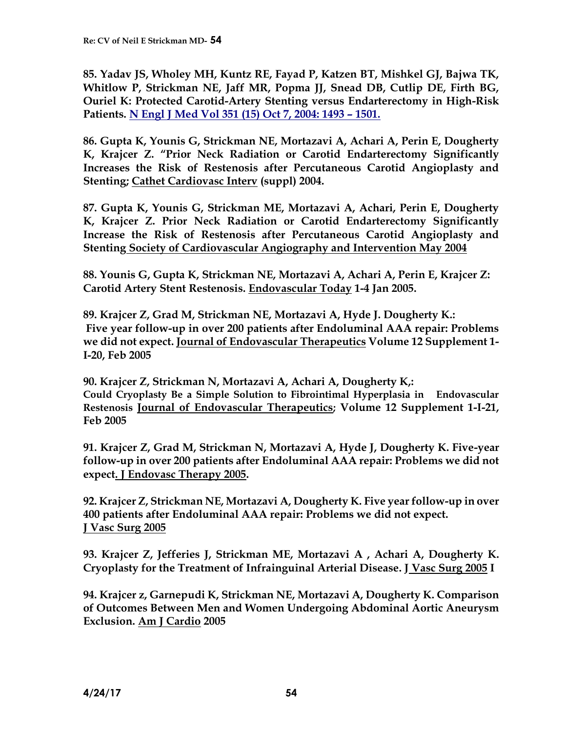**85. Yadav JS, Wholey MH, Kuntz RE, Fayad P, Katzen BT, Mishkel GJ, Bajwa TK, Whitlow P, Strickman NE, Jaff MR, Popma JJ, Snead DB, Cutlip DE, Firth BG, Ouriel K: Protected Carotid-Artery Stenting versus Endarterectomy in High-Risk Patients. N Engl J Med Vol 351 (15) Oct 7, 2004: 1493 – 1501.**

**86. Gupta K, Younis G, Strickman NE, Mortazavi A, Achari A, Perin E, Dougherty K, Krajcer Z. "Prior Neck Radiation or Carotid Endarterectomy Significantly Increases the Risk of Restenosis after Percutaneous Carotid Angioplasty and Stenting; Cathet Cardiovasc Interv (suppl) 2004.**

**87. Gupta K, Younis G, Strickman ME, Mortazavi A, Achari, Perin E, Dougherty K, Krajcer Z. Prior Neck Radiation or Carotid Endarterectomy Significantly Increase the Risk of Restenosis after Percutaneous Carotid Angioplasty and Stenting Society of Cardiovascular Angiography and Intervention May 2004**

**88. Younis G, Gupta K, Strickman NE, Mortazavi A, Achari A, Perin E, Krajcer Z: Carotid Artery Stent Restenosis. Endovascular Today 1-4 Jan 2005.**

**89. Krajcer Z, Grad M, Strickman NE, Mortazavi A, Hyde J. Dougherty K.: Five year follow-up in over 200 patients after Endoluminal AAA repair: Problems we did not expect. Journal of Endovascular Therapeutics Volume 12 Supplement 1- I-20, Feb 2005**

**90. Krajcer Z, Strickman N, Mortazavi A, Achari A, Dougherty K,: Could Cryoplasty Be a Simple Solution to Fibrointimal Hyperplasia in Endovascular Restenosis Journal of Endovascular Therapeutics; Volume 12 Supplement 1-I-21, Feb 2005**

**91. Krajcer Z, Grad M, Strickman N, Mortazavi A, Hyde J, Dougherty K. Five-year follow-up in over 200 patients after Endoluminal AAA repair: Problems we did not expect. J Endovasc Therapy 2005.** 

**92. Krajcer Z, Strickman NE, Mortazavi A, Dougherty K. Five year follow-up in over 400 patients after Endoluminal AAA repair: Problems we did not expect. J Vasc Surg 2005**

**93. Krajcer Z, Jefferies J, Strickman ME, Mortazavi A , Achari A, Dougherty K. Cryoplasty for the Treatment of Infrainguinal Arterial Disease. J Vasc Surg 2005 I**

**94. Krajcer z, Garnepudi K, Strickman NE, Mortazavi A, Dougherty K. Comparison of Outcomes Between Men and Women Undergoing Abdominal Aortic Aneurysm Exclusion. Am J Cardio 2005**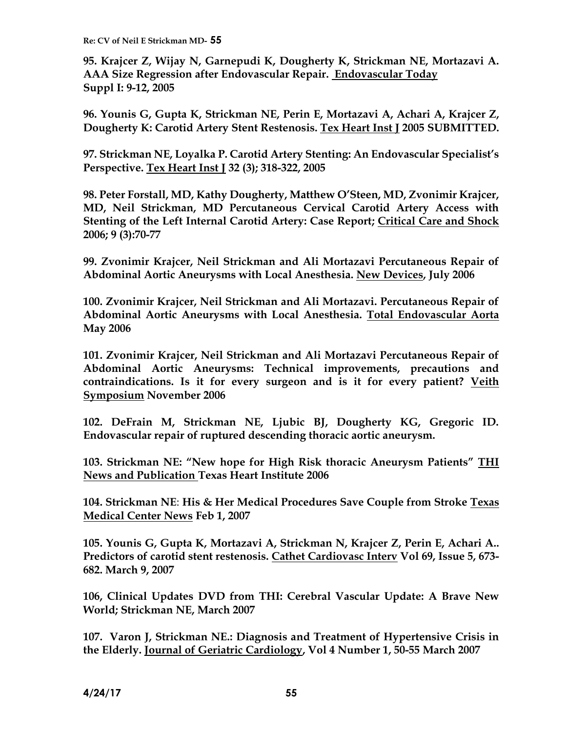**95. Krajcer Z, Wijay N, Garnepudi K, Dougherty K, Strickman NE, Mortazavi A. AAA Size Regression after Endovascular Repair. Endovascular Today Suppl I: 9-12, 2005**

**96. Younis G, Gupta K, Strickman NE, Perin E, Mortazavi A, Achari A, Krajcer Z, Dougherty K: Carotid Artery Stent Restenosis. Tex Heart Inst J 2005 SUBMITTED.**

**97. Strickman NE, Loyalka P. Carotid Artery Stenting: An Endovascular Specialist's Perspective. Tex Heart Inst J 32 (3); 318-322, 2005**

**98. Peter Forstall, MD, Kathy Dougherty, Matthew O'Steen, MD, Zvonimir Krajcer, MD, Neil Strickman, MD Percutaneous Cervical Carotid Artery Access with Stenting of the Left Internal Carotid Artery: Case Report; Critical Care and Shock 2006; 9 (3):70-77**

**99. Zvonimir Krajcer, Neil Strickman and Ali Mortazavi Percutaneous Repair of Abdominal Aortic Aneurysms with Local Anesthesia. New Devices, July 2006**

**100. Zvonimir Krajcer, Neil Strickman and Ali Mortazavi. Percutaneous Repair of Abdominal Aortic Aneurysms with Local Anesthesia. Total Endovascular Aorta May 2006**

**101. Zvonimir Krajcer, Neil Strickman and Ali Mortazavi Percutaneous Repair of Abdominal Aortic Aneurysms: Technical improvements, precautions and contraindications. Is it for every surgeon and is it for every patient? Veith Symposium November 2006**

**102. DeFrain M, Strickman NE, Ljubic BJ, Dougherty KG, Gregoric ID. Endovascular repair of ruptured descending thoracic aortic aneurysm.** 

**103. Strickman NE: "New hope for High Risk thoracic Aneurysm Patients" THI News and Publication Texas Heart Institute 2006**

**104. Strickman NE**: **His & Her Medical Procedures Save Couple from Stroke Texas Medical Center News Feb 1, 2007**

**105. Younis G, Gupta K, Mortazavi A, Strickman N, Krajcer Z, Perin E, Achari A.. Predictors of carotid stent restenosis. Cathet Cardiovasc Interv Vol 69, Issue 5, 673- 682. March 9, 2007**

**106, Clinical Updates DVD from THI: Cerebral Vascular Update: A Brave New World; Strickman NE, March 2007**

**107. Varon J, Strickman NE.: Diagnosis and Treatment of Hypertensive Crisis in the Elderly. Journal of Geriatric Cardiology, Vol 4 Number 1, 50-55 March 2007**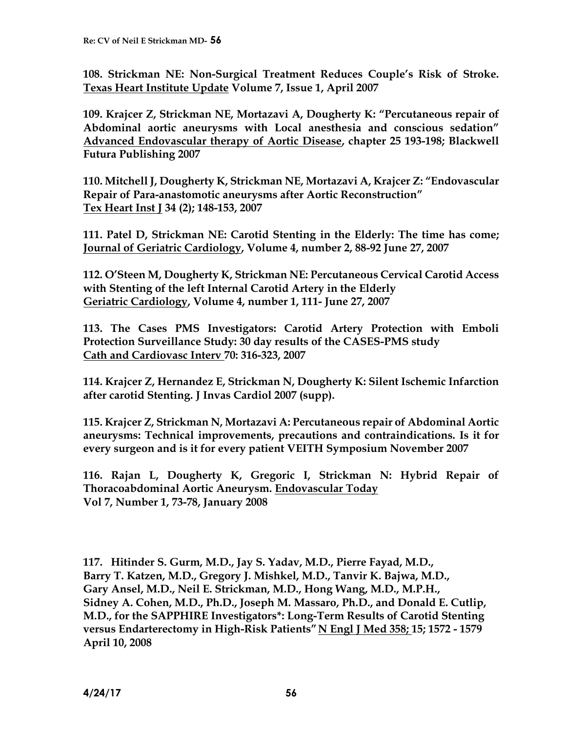**108. Strickman NE: Non-Surgical Treatment Reduces Couple's Risk of Stroke. Texas Heart Institute Update Volume 7, Issue 1, April 2007**

**109. Krajcer Z, Strickman NE, Mortazavi A, Dougherty K: "Percutaneous repair of Abdominal aortic aneurysms with Local anesthesia and conscious sedation" Advanced Endovascular therapy of Aortic Disease, chapter 25 193-198; Blackwell Futura Publishing 2007**

**110. Mitchell J, Dougherty K, Strickman NE, Mortazavi A, Krajcer Z: "Endovascular Repair of Para-anastomotic aneurysms after Aortic Reconstruction" Tex Heart Inst J 34 (2); 148-153, 2007**

**111. Patel D, Strickman NE: Carotid Stenting in the Elderly: The time has come; Journal of Geriatric Cardiology, Volume 4, number 2, 88-92 June 27, 2007**

**112. O'Steen M, Dougherty K, Strickman NE: Percutaneous Cervical Carotid Access with Stenting of the left Internal Carotid Artery in the Elderly Geriatric Cardiology, Volume 4, number 1, 111- June 27, 2007**

**113. The Cases PMS Investigators: Carotid Artery Protection with Emboli Protection Surveillance Study: 30 day results of the CASES-PMS study Cath and Cardiovasc Interv 70: 316-323, 2007**

**114. Krajcer Z, Hernandez E, Strickman N, Dougherty K: Silent Ischemic Infarction after carotid Stenting. J Invas Cardiol 2007 (supp).**

**115. Krajcer Z, Strickman N, Mortazavi A: Percutaneous repair of Abdominal Aortic aneurysms: Technical improvements, precautions and contraindications. Is it for every surgeon and is it for every patient VEITH Symposium November 2007**

**116. Rajan L, Dougherty K, Gregoric I, Strickman N: Hybrid Repair of Thoracoabdominal Aortic Aneurysm. Endovascular Today Vol 7, Number 1, 73-78, January 2008**

**117. Hitinder S. Gurm, M.D., Jay S. Yadav, M.D., Pierre Fayad, M.D., Barry T. Katzen, M.D., Gregory J. Mishkel, M.D., Tanvir K. Bajwa, M.D., Gary Ansel, M.D., Neil E. Strickman, M.D., Hong Wang, M.D., M.P.H., Sidney A. Cohen, M.D., Ph.D., Joseph M. Massaro, Ph.D., and Donald E. Cutlip, M.D., for the SAPPHIRE Investigators\*: Long-Term Results of Carotid Stenting versus Endarterectomy in High-Risk Patients" N Engl J Med 358; 15; [1572](http://www.nejm.1572/) - 1579 April 10, 2008**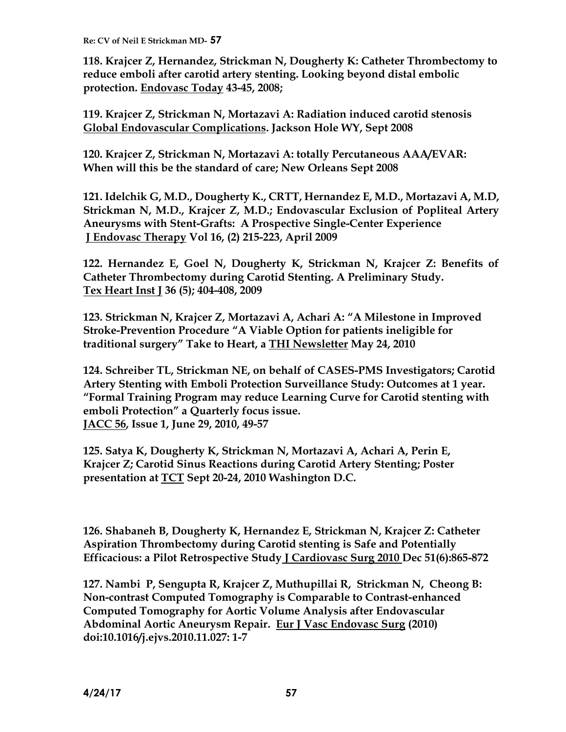**118. Krajcer Z, Hernandez, Strickman N, Dougherty K: Catheter Thrombectomy to reduce emboli after carotid artery stenting. Looking beyond distal embolic protection. Endovasc Today 43-45, 2008;** 

**119. Krajcer Z, Strickman N, Mortazavi A: Radiation induced carotid stenosis Global Endovascular Complications. Jackson Hole WY, Sept 2008**

**120. Krajcer Z, Strickman N, Mortazavi A: totally Percutaneous AAA/EVAR: When will this be the standard of care; New Orleans Sept 2008**

**121. Idelchik G, M.D., Dougherty K., CRTT, Hernandez E, M.D., Mortazavi A, M.D, Strickman N, M.D., Krajcer Z, M.D.; Endovascular Exclusion of Popliteal Artery Aneurysms with Stent-Grafts: A Prospective Single-Center Experience J Endovasc Therapy Vol 16, (2) 215-223, April 2009**

**122. Hernandez E, Goel N, Dougherty K, Strickman N, Krajcer Z: Benefits of Catheter Thrombectomy during Carotid Stenting. A Preliminary Study. Tex Heart Inst J 36 (5); 404-408, 2009**

**123. Strickman N, Krajcer Z, Mortazavi A, Achari A: "A Milestone in Improved Stroke-Prevention Procedure "A Viable Option for patients ineligible for traditional surgery" Take to Heart, a THI Newsletter May 24, 2010**

**124. Schreiber TL, Strickman NE, on behalf of CASES-PMS Investigators; Carotid Artery Stenting with Emboli Protection Surveillance Study: Outcomes at 1 year. "Formal Training Program may reduce Learning Curve for Carotid stenting with emboli Protection" a Quarterly focus issue. JACC 56, Issue 1, June 29, 2010, 49-57**

**125. Satya K, Dougherty K, Strickman N, Mortazavi A, Achari A, Perin E, Krajcer Z; Carotid Sinus Reactions during Carotid Artery Stenting; Poster presentation at TCT Sept 20-24, 2010 Washington D.C.**

**126. Shabaneh B, Dougherty K, Hernandez E, Strickman N, Krajcer Z: Catheter Aspiration Thrombectomy during Carotid stenting is Safe and Potentially Efficacious: a Pilot Retrospective Study J Cardiovasc Surg 2010 Dec 51(6):865-872**

**127. Nambi P, Sengupta R, Krajcer Z, Muthupillai R, Strickman N, Cheong B: Non-contrast Computed Tomography is Comparable to Contrast-enhanced Computed Tomography for Aortic Volume Analysis after Endovascular Abdominal Aortic Aneurysm Repair. Eur J Vasc Endovasc Surg (2010) doi:10.1016/j.ejvs.2010.11.027: 1-7**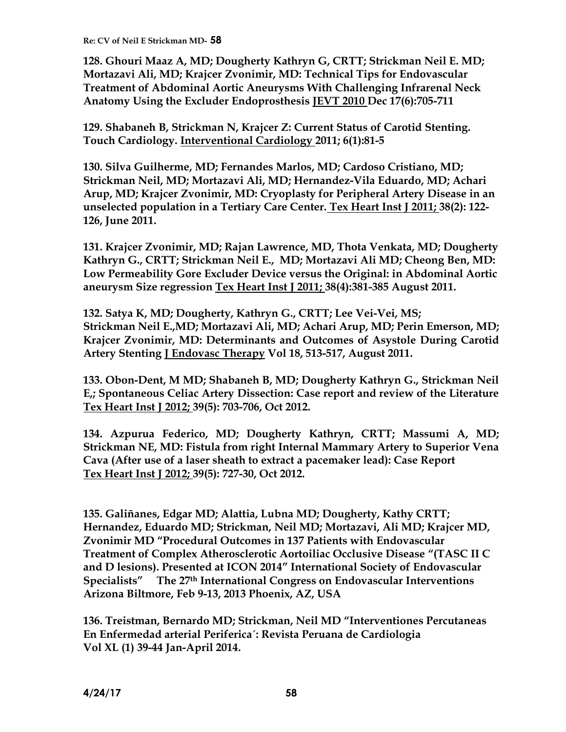**128. Ghouri Maaz A, MD; Dougherty Kathryn G, CRTT; Strickman Neil E. MD; Mortazavi Ali, MD; Krajcer Zvonimir, MD: Technical Tips for Endovascular Treatment of Abdominal Aortic Aneurysms With Challenging Infrarenal Neck Anatomy Using the Excluder Endoprosthesis JEVT 2010 Dec 17(6):705-711** 

**129. Shabaneh B, Strickman N, Krajcer Z: Current Status of Carotid Stenting. Touch Cardiology. Interventional Cardiology 2011; 6(1):81-5**

**130. Silva Guilherme, MD; Fernandes Marlos, MD; Cardoso Cristiano, MD; Strickman Neil, MD; Mortazavi Ali, MD; Hernandez-Vila Eduardo, MD; Achari Arup, MD; Krajcer Zvonimir, MD: Cryoplasty for Peripheral Artery Disease in an unselected population in a Tertiary Care Center. Tex Heart Inst J 2011; 38(2): 122- 126, June 2011.**

**131. Krajcer Zvonimir, MD; Rajan Lawrence, MD, Thota Venkata, MD; Dougherty Kathryn G., CRTT; Strickman Neil E., MD; Mortazavi Ali MD; Cheong Ben, MD: Low Permeability Gore Excluder Device versus the Original: in Abdominal Aortic aneurysm Size regression Tex Heart Inst J 2011; 38(4):381-385 August 2011.**

**132. Satya K, MD; Dougherty, Kathryn G., CRTT; Lee Vei-Vei, MS; Strickman Neil E.,MD; Mortazavi Ali, MD; Achari Arup, MD; Perin Emerson, MD; Krajcer Zvonimir, MD: Determinants and Outcomes of Asystole During Carotid Artery Stenting J Endovasc Therapy Vol 18, 513-517, August 2011.**

**133. Obon-Dent, M MD; Shabaneh B, MD; Dougherty Kathryn G., Strickman Neil E,; Spontaneous Celiac Artery Dissection: Case report and review of the Literature Tex Heart Inst J 2012; 39(5): 703-706, Oct 2012.**

**134. Azpurua Federico, MD; Dougherty Kathryn, CRTT; Massumi A, MD; Strickman NE, MD: Fistula from right Internal Mammary Artery to Superior Vena Cava (After use of a laser sheath to extract a pacemaker lead): Case Report Tex Heart Inst J 2012; 39(5): 727-30, Oct 2012.**

**135. Galiñanes, Edgar MD; Alattia, Lubna MD; Dougherty, Kathy CRTT; Hernandez, Eduardo MD; Strickman, Neil MD; Mortazavi, Ali MD; Krajcer MD, Zvonimir MD "Procedural Outcomes in 137 Patients with Endovascular Treatment of Complex Atherosclerotic Aortoiliac Occlusive Disease "(TASC II C and D lesions). Presented at ICON 2014" International Society of Endovascular Specialists" The 27th International Congress on Endovascular Interventions Arizona Biltmore, Feb 9-13, 2013 Phoenix, AZ, USA**

**136. Treistman, Bernardo MD; Strickman, Neil MD "Interventiones Percutaneas En Enfermedad arterial Periferica´: Revista Peruana de Cardiologia Vol XL (1) 39-44 Jan-April 2014.**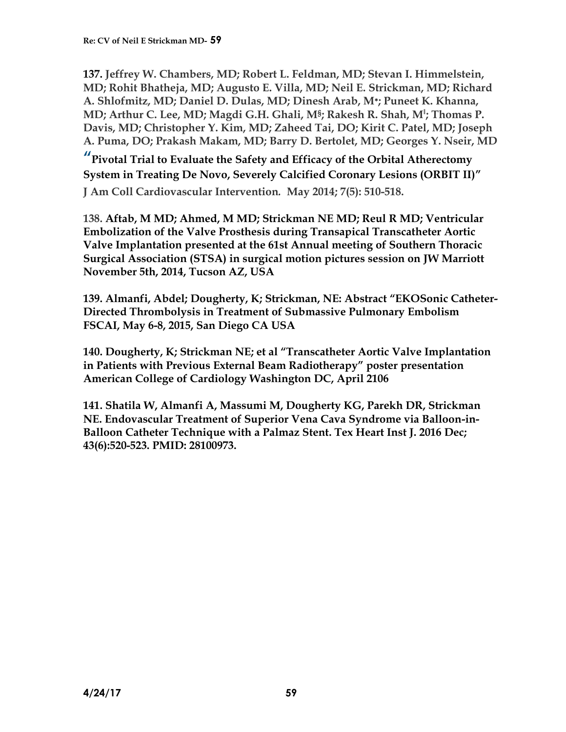**137. Jeffrey W. Chambers, MD; Robert L. Feldman, MD; Stevan I. Himmelstein, MD; Rohit Bhatheja, MD; Augusto E. Villa, MD; Neil E. Strickman, MD; Richard A. Shlofmitz, MD; Daniel D. Dulas, MD; Dinesh Arab, M**<sup>∗</sup> **; Puneet K. Khanna, MD; Arthur C. Lee, MD; Magdi G.H. Ghali, M§; Rakesh R. Shah, M‖ ; Thomas P. Davis, MD; Christopher Y. Kim, MD; Zaheed Tai, DO; Kirit C. Patel, MD; Joseph A. Puma, DO; Prakash Makam, MD; Barry D. Bertolet, MD; Georges Y. Nseir, MD**

**"Pivotal Trial to Evaluate the Safety and Efficacy of the Orbital Atherectomy System in Treating De Novo, Severely Calcified Coronary Lesions (ORBIT II)"**

**J Am Coll Cardiovascular Intervention***.* **May 2014; 7(5): 510-518.** 

**138. Aftab, M MD; Ahmed, M MD; Strickman NE MD; Reul R MD; Ventricular Embolization of the Valve Prosthesis during Transapical Transcatheter Aortic Valve Implantation presented at the 61st Annual meeting of Southern Thoracic Surgical Association (STSA) in surgical motion pictures session on JW Marriott November 5th, 2014, Tucson AZ, USA**

**139. Almanfi, Abdel; Dougherty, K; Strickman, NE: Abstract "EKOSonic Catheter-Directed Thrombolysis in Treatment of Submassive Pulmonary Embolism FSCAI, May 6-8, 2015, San Diego CA USA**

**140. Dougherty, K; Strickman NE; et al "Transcatheter Aortic Valve Implantation in Patients with Previous External Beam Radiotherapy" poster presentation American College of Cardiology Washington DC, April 2106**

**141. Shatila W, Almanfi A, Massumi M, Dougherty KG, Parekh DR, Strickman NE. Endovascular Treatment of Superior Vena Cava Syndrome via Balloon-in-Balloon Catheter Technique with a Palmaz Stent. Tex Heart Inst J. 2016 Dec; 43(6):520-523. PMID: 28100973.**